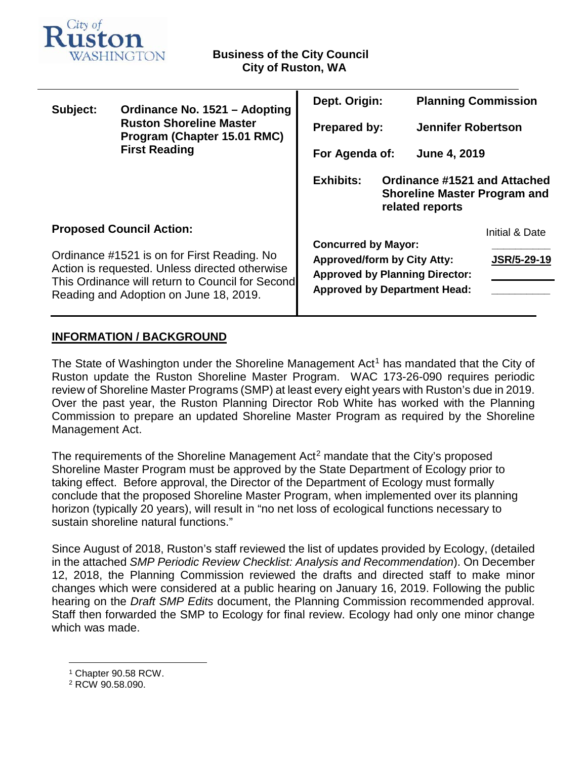

| Subject:                                                                                                                                                                                    | Ordinance No. 1521 - Adopting<br><b>Ruston Shoreline Master</b><br>Program (Chapter 15.01 RMC)<br><b>First Reading</b> | Dept. Origin:                                                                                                                                    |  | <b>Planning Commission</b> |                    |
|---------------------------------------------------------------------------------------------------------------------------------------------------------------------------------------------|------------------------------------------------------------------------------------------------------------------------|--------------------------------------------------------------------------------------------------------------------------------------------------|--|----------------------------|--------------------|
|                                                                                                                                                                                             |                                                                                                                        | <b>Prepared by:</b>                                                                                                                              |  | <b>Jennifer Robertson</b>  |                    |
|                                                                                                                                                                                             |                                                                                                                        | For Agenda of:                                                                                                                                   |  | <b>June 4, 2019</b>        |                    |
|                                                                                                                                                                                             |                                                                                                                        | <b>Exhibits:</b><br>Ordinance #1521 and Attached<br><b>Shoreline Master Program and</b><br>related reports                                       |  |                            |                    |
| <b>Proposed Council Action:</b>                                                                                                                                                             |                                                                                                                        |                                                                                                                                                  |  |                            | Initial & Date     |
| Ordinance #1521 is on for First Reading. No<br>Action is requested. Unless directed otherwise<br>This Ordinance will return to Council for Second<br>Reading and Adoption on June 18, 2019. |                                                                                                                        | <b>Concurred by Mayor:</b><br><b>Approved/form by City Atty:</b><br><b>Approved by Planning Director:</b><br><b>Approved by Department Head:</b> |  |                            | <b>JSR/5-29-19</b> |
|                                                                                                                                                                                             |                                                                                                                        |                                                                                                                                                  |  |                            |                    |

## **INFORMATION / BACKGROUND**

The State of Washington under the Shoreline Management Act<sup>[1](#page-0-0)</sup> has mandated that the City of Ruston update the Ruston Shoreline Master Program. WAC 173-26-090 requires periodic review of Shoreline Master Programs (SMP) at least every eight years with Ruston's due in 2019. Over the past year, the Ruston Planning Director Rob White has worked with the Planning Commission to prepare an updated Shoreline Master Program as required by the Shoreline Management Act.

The requirements of the Shoreline Management Act<sup>[2](#page-0-1)</sup> mandate that the City's proposed Shoreline Master Program must be approved by the State Department of Ecology prior to taking effect. Before approval, the Director of the Department of Ecology must formally conclude that the proposed Shoreline Master Program, when implemented over its planning horizon (typically 20 years), will result in "no net loss of ecological functions necessary to sustain shoreline natural functions."

Since August of 2018, Ruston's staff reviewed the list of updates provided by Ecology, (detailed in the attached *SMP Periodic Review Checklist: Analysis and Recommendation*). On December 12, 2018, the Planning Commission reviewed the drafts and directed staff to make minor changes which were considered at a public hearing on January 16, 2019. Following the public hearing on the *Draft SMP Edits* document, the Planning Commission recommended approval. Staff then forwarded the SMP to Ecology for final review. Ecology had only one minor change which was made.

<span id="page-0-0"></span> <sup>1</sup> Chapter 90.58 RCW.

<span id="page-0-1"></span><sup>2</sup> RCW 90.58.090.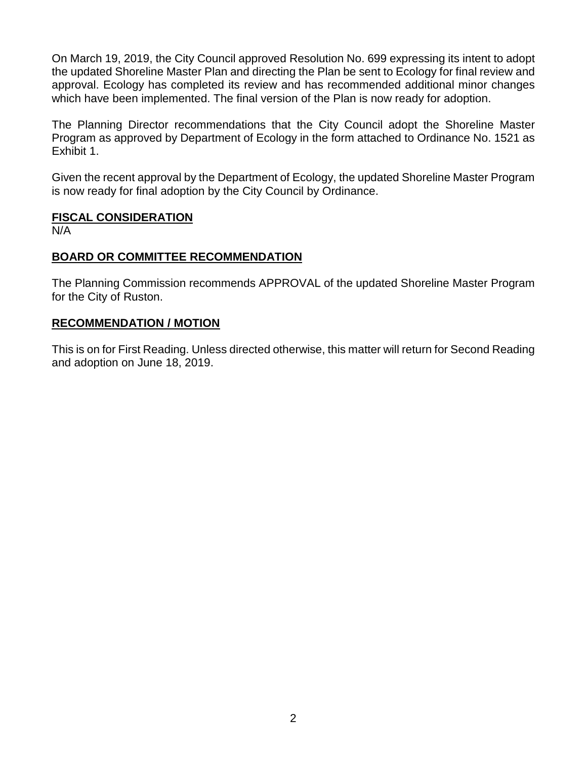On March 19, 2019, the City Council approved Resolution No. 699 expressing its intent to adopt the updated Shoreline Master Plan and directing the Plan be sent to Ecology for final review and approval. Ecology has completed its review and has recommended additional minor changes which have been implemented. The final version of the Plan is now ready for adoption.

The Planning Director recommendations that the City Council adopt the Shoreline Master Program as approved by Department of Ecology in the form attached to Ordinance No. 1521 as Exhibit 1.

Given the recent approval by the Department of Ecology, the updated Shoreline Master Program is now ready for final adoption by the City Council by Ordinance.

### **FISCAL CONSIDERATION**

N/A

## **BOARD OR COMMITTEE RECOMMENDATION**

The Planning Commission recommends APPROVAL of the updated Shoreline Master Program for the City of Ruston.

## **RECOMMENDATION / MOTION**

This is on for First Reading. Unless directed otherwise, this matter will return for Second Reading and adoption on June 18, 2019.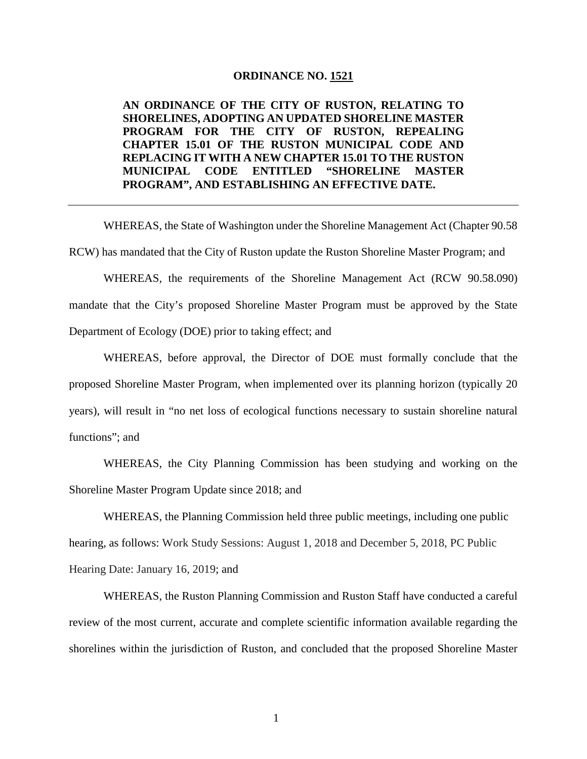#### **ORDINANCE NO. 1521**

**AN ORDINANCE OF THE CITY OF RUSTON, RELATING TO SHORELINES, ADOPTING AN UPDATED SHORELINE MASTER PROGRAM FOR THE CITY OF RUSTON, REPEALING CHAPTER 15.01 OF THE RUSTON MUNICIPAL CODE AND REPLACING IT WITH A NEW CHAPTER 15.01 TO THE RUSTON MUNICIPAL CODE ENTITLED "SHORELINE MASTER PROGRAM", AND ESTABLISHING AN EFFECTIVE DATE.**

WHEREAS, the State of Washington under the Shoreline Management Act (Chapter 90.58 RCW) has mandated that the City of Ruston update the Ruston Shoreline Master Program; and

WHEREAS, the requirements of the Shoreline Management Act (RCW 90.58.090) mandate that the City's proposed Shoreline Master Program must be approved by the State Department of Ecology (DOE) prior to taking effect; and

WHEREAS, before approval, the Director of DOE must formally conclude that the proposed Shoreline Master Program, when implemented over its planning horizon (typically 20 years), will result in "no net loss of ecological functions necessary to sustain shoreline natural functions"; and

WHEREAS, the City Planning Commission has been studying and working on the Shoreline Master Program Update since 2018; and

WHEREAS, the Planning Commission held three public meetings, including one public hearing, as follows: Work Study Sessions: August 1, 2018 and December 5, 2018, PC Public Hearing Date: January 16, 2019; and

WHEREAS, the Ruston Planning Commission and Ruston Staff have conducted a careful review of the most current, accurate and complete scientific information available regarding the shorelines within the jurisdiction of Ruston, and concluded that the proposed Shoreline Master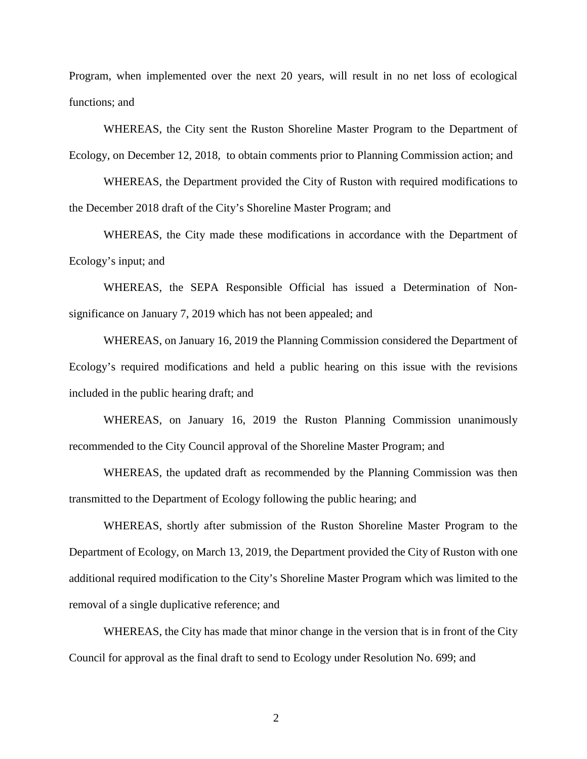Program, when implemented over the next 20 years, will result in no net loss of ecological functions; and

WHEREAS, the City sent the Ruston Shoreline Master Program to the Department of Ecology, on December 12, 2018, to obtain comments prior to Planning Commission action; and

WHEREAS, the Department provided the City of Ruston with required modifications to the December 2018 draft of the City's Shoreline Master Program; and

WHEREAS, the City made these modifications in accordance with the Department of Ecology's input; and

WHEREAS, the SEPA Responsible Official has issued a Determination of Nonsignificance on January 7, 2019 which has not been appealed; and

WHEREAS, on January 16, 2019 the Planning Commission considered the Department of Ecology's required modifications and held a public hearing on this issue with the revisions included in the public hearing draft; and

WHEREAS, on January 16, 2019 the Ruston Planning Commission unanimously recommended to the City Council approval of the Shoreline Master Program; and

WHEREAS, the updated draft as recommended by the Planning Commission was then transmitted to the Department of Ecology following the public hearing; and

WHEREAS, shortly after submission of the Ruston Shoreline Master Program to the Department of Ecology, on March 13, 2019, the Department provided the City of Ruston with one additional required modification to the City's Shoreline Master Program which was limited to the removal of a single duplicative reference; and

WHEREAS, the City has made that minor change in the version that is in front of the City Council for approval as the final draft to send to Ecology under Resolution No. 699; and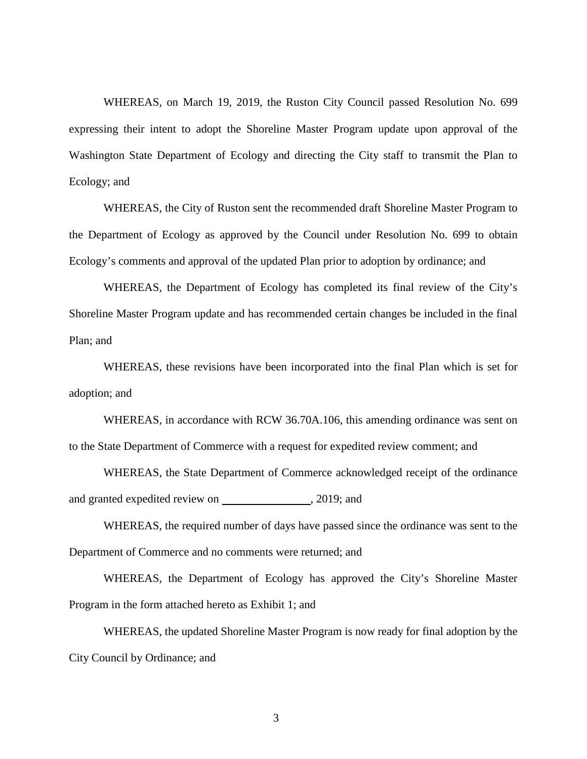WHEREAS, on March 19, 2019, the Ruston City Council passed Resolution No. 699 expressing their intent to adopt the Shoreline Master Program update upon approval of the Washington State Department of Ecology and directing the City staff to transmit the Plan to Ecology; and

WHEREAS, the City of Ruston sent the recommended draft Shoreline Master Program to the Department of Ecology as approved by the Council under Resolution No. 699 to obtain Ecology's comments and approval of the updated Plan prior to adoption by ordinance; and

WHEREAS, the Department of Ecology has completed its final review of the City's Shoreline Master Program update and has recommended certain changes be included in the final Plan; and

WHEREAS, these revisions have been incorporated into the final Plan which is set for adoption; and

WHEREAS, in accordance with RCW 36.70A.106, this amending ordinance was sent on to the State Department of Commerce with a request for expedited review comment; and

WHEREAS, the State Department of Commerce acknowledged receipt of the ordinance and granted expedited review on , 2019; and

WHEREAS, the required number of days have passed since the ordinance was sent to the Department of Commerce and no comments were returned; and

WHEREAS, the Department of Ecology has approved the City's Shoreline Master Program in the form attached hereto as Exhibit 1; and

WHEREAS, the updated Shoreline Master Program is now ready for final adoption by the City Council by Ordinance; and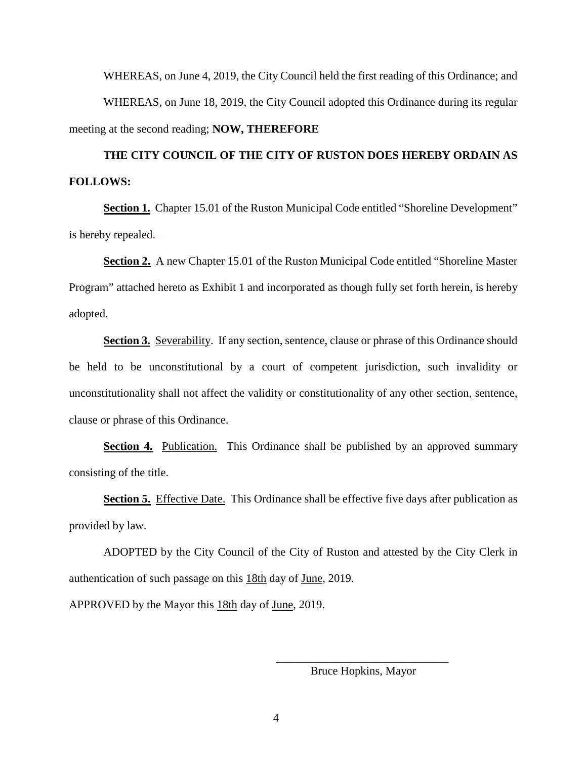WHEREAS, on June 4, 2019, the City Council held the first reading of this Ordinance; and WHEREAS, on June 18, 2019, the City Council adopted this Ordinance during its regular meeting at the second reading; **NOW, THEREFORE**

**THE CITY COUNCIL OF THE CITY OF RUSTON DOES HEREBY ORDAIN AS FOLLOWS:** 

**Section 1.** Chapter 15.01 of the Ruston Municipal Code entitled "Shoreline Development" is hereby repealed.

**Section 2.** A new Chapter 15.01 of the Ruston Municipal Code entitled "Shoreline Master Program" attached hereto as Exhibit 1 and incorporated as though fully set forth herein, is hereby adopted.

**Section 3.** Severability. If any section, sentence, clause or phrase of this Ordinance should be held to be unconstitutional by a court of competent jurisdiction, such invalidity or unconstitutionality shall not affect the validity or constitutionality of any other section, sentence, clause or phrase of this Ordinance.

**Section 4.** Publication. This Ordinance shall be published by an approved summary consisting of the title.

**Section 5.** Effective Date. This Ordinance shall be effective five days after publication as provided by law.

ADOPTED by the City Council of the City of Ruston and attested by the City Clerk in authentication of such passage on this 18th day of June, 2019.

APPROVED by the Mayor this 18th day of June, 2019.

\_\_\_\_\_\_\_\_\_\_\_\_\_\_\_\_\_\_\_\_\_\_\_\_\_\_\_\_\_\_ Bruce Hopkins, Mayor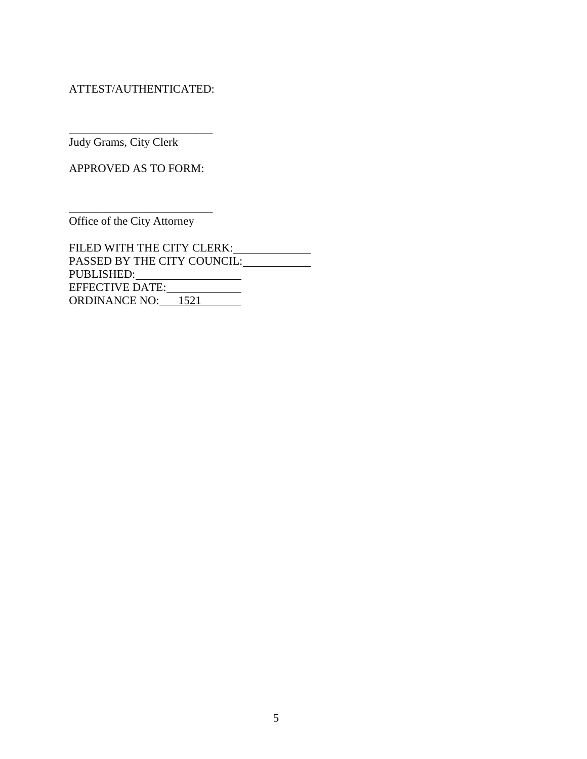ATTEST/AUTHENTICATED:

\_\_\_\_\_\_\_\_\_\_\_\_\_\_\_\_\_\_\_\_\_\_\_\_\_

Judy Grams, City Clerk

APPROVED AS TO FORM:

Office of the City Attorney

\_\_\_\_\_\_\_\_\_\_\_\_\_\_\_\_\_\_\_\_\_\_\_\_\_

FILED WITH THE CITY CLERK: PASSED BY THE CITY COUNCIL: PUBLISHED: EFFECTIVE DATE: ORDINANCE NO: 1521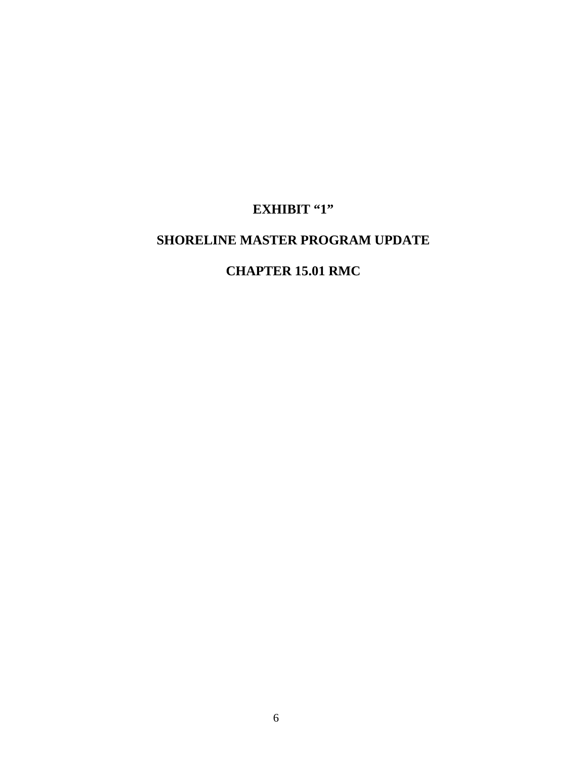# **EXHIBIT "1"**

## **SHORELINE MASTER PROGRAM UPDATE**

## **CHAPTER 15.01 RMC**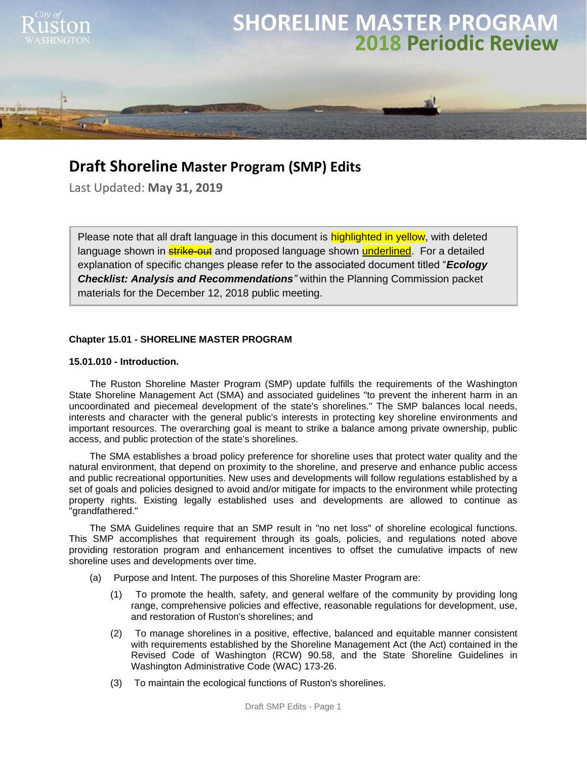

## **Draft Shoreline Master Program (SMP) Edits**

Last Updated: **May 31, 2019**

Please note that all draft language in this document is highlighted in yellow, with deleted language shown in **strike-out** and proposed language shown **underlined**. For a detailed explanation of specific changes please refer to the associated document titled "*Ecology Checklist: Analysis and Recommendations"* within the Planning Commission packet materials for the December 12, 2018 public meeting.

#### **Chapter 15.01 - SHORELINE MASTER PROGRAM**

#### **15.01.010 - Introduction.**

The Ruston Shoreline Master Program (SMP) update fulfills the requirements of the Washington State Shoreline Management Act (SMA) and associated guidelines "to prevent the inherent harm in an uncoordinated and piecemeal development of the state's shorelines." The SMP balances local needs, interests and character with the general public's interests in protecting key shoreline environments and important resources. The overarching goal is meant to strike a balance among private ownership, public access, and public protection of the state's shorelines.

The SMA establishes a broad policy preference for shoreline uses that protect water quality and the natural environment, that depend on proximity to the shoreline, and preserve and enhance public access and public recreational opportunities. New uses and developments will follow regulations established by a set of goals and policies designed to avoid and/or mitigate for impacts to the environment while protecting property rights. Existing legally established uses and developments are allowed to continue as "grandfathered."

The SMA Guidelines require that an SMP result in "no net loss" of shoreline ecological functions. This SMP accomplishes that requirement through its goals, policies, and regulations noted above providing restoration program and enhancement incentives to offset the cumulative impacts of new shoreline uses and developments over time.

- (a) Purpose and Intent. The purposes of this Shoreline Master Program are:
	- (1) To promote the health, safety, and general welfare of the community by providing long range, comprehensive policies and effective, reasonable regulations for development, use, and restoration of Ruston's shorelines; and
	- (2) To manage shorelines in a positive, effective, balanced and equitable manner consistent with requirements established by the Shoreline Management Act (the Act) contained in the Revised Code of Washington (RCW) 90.58, and the State Shoreline Guidelines in Washington Administrative Code (WAC) 173-26.
	- (3) To maintain the ecological functions of Ruston's shorelines.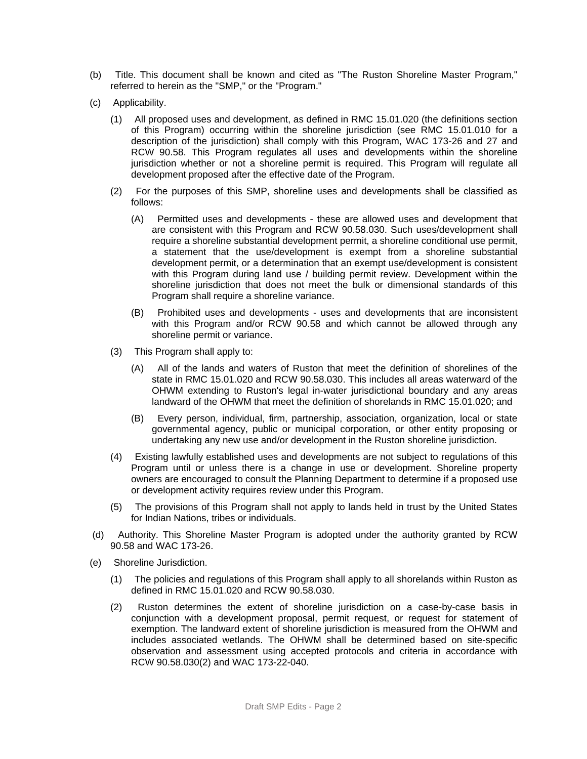- (b) Title. This document shall be known and cited as "The Ruston Shoreline Master Program," referred to herein as the "SMP," or the "Program."
- (c) Applicability.
	- (1) All proposed uses and development, as defined in RMC 15.01.020 (the definitions section of this Program) occurring within the shoreline jurisdiction (see RMC 15.01.010 for a description of the jurisdiction) shall comply with this Program, WAC 173-26 and 27 and RCW 90.58. This Program regulates all uses and developments within the shoreline jurisdiction whether or not a shoreline permit is required. This Program will regulate all development proposed after the effective date of the Program.
	- (2) For the purposes of this SMP, shoreline uses and developments shall be classified as follows:
		- (A) Permitted uses and developments these are allowed uses and development that are consistent with this Program and RCW 90.58.030. Such uses/development shall require a shoreline substantial development permit, a shoreline conditional use permit, a statement that the use/development is exempt from a shoreline substantial development permit, or a determination that an exempt use/development is consistent with this Program during land use / building permit review. Development within the shoreline jurisdiction that does not meet the bulk or dimensional standards of this Program shall require a shoreline variance.
		- (B) Prohibited uses and developments uses and developments that are inconsistent with this Program and/or RCW 90.58 and which cannot be allowed through any shoreline permit or variance.
	- (3) This Program shall apply to:
		- (A) All of the lands and waters of Ruston that meet the definition of shorelines of the state in RMC 15.01.020 and RCW 90.58.030. This includes all areas waterward of the OHWM extending to Ruston's legal in-water jurisdictional boundary and any areas landward of the OHWM that meet the definition of shorelands in RMC 15.01.020; and
		- (B) Every person, individual, firm, partnership, association, organization, local or state governmental agency, public or municipal corporation, or other entity proposing or undertaking any new use and/or development in the Ruston shoreline jurisdiction.
	- (4) Existing lawfully established uses and developments are not subject to regulations of this Program until or unless there is a change in use or development. Shoreline property owners are encouraged to consult the Planning Department to determine if a proposed use or development activity requires review under this Program.
	- (5) The provisions of this Program shall not apply to lands held in trust by the United States for Indian Nations, tribes or individuals.
- (d) Authority. This Shoreline Master Program is adopted under the authority granted by RCW 90.58 and WAC 173-26.
- (e) Shoreline Jurisdiction.
	- (1) The policies and regulations of this Program shall apply to all shorelands within Ruston as defined in RMC 15.01.020 and RCW 90.58.030.
	- (2) Ruston determines the extent of shoreline jurisdiction on a case-by-case basis in conjunction with a development proposal, permit request, or request for statement of exemption. The landward extent of shoreline jurisdiction is measured from the OHWM and includes associated wetlands. The OHWM shall be determined based on site-specific observation and assessment using accepted protocols and criteria in accordance with RCW 90.58.030(2) and WAC 173-22-040.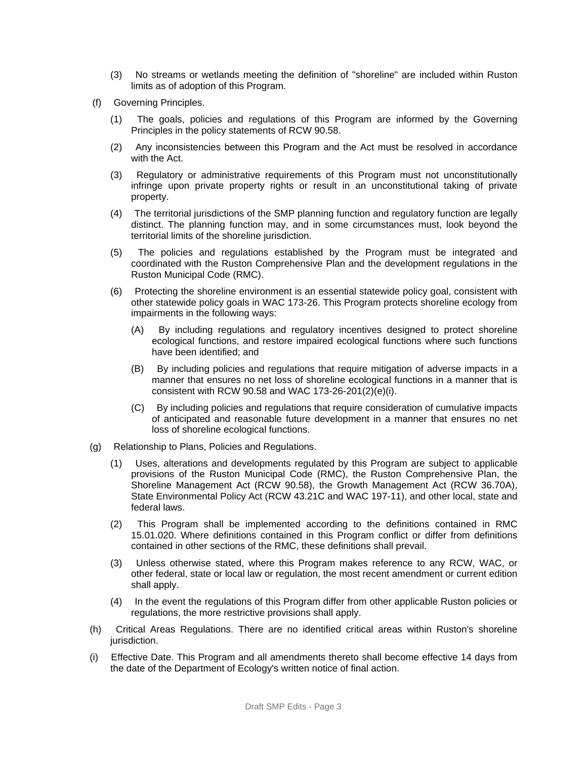- (3) No streams or wetlands meeting the definition of "shoreline" are included within Ruston limits as of adoption of this Program.
- (f) Governing Principles.
	- (1) The goals, policies and regulations of this Program are informed by the Governing Principles in the policy statements of RCW 90.58.
	- (2) Any inconsistencies between this Program and the Act must be resolved in accordance with the Act.
	- (3) Regulatory or administrative requirements of this Program must not unconstitutionally infringe upon private property rights or result in an unconstitutional taking of private property.
	- (4) The territorial jurisdictions of the SMP planning function and regulatory function are legally distinct. The planning function may, and in some circumstances must, look beyond the territorial limits of the shoreline jurisdiction.
	- (5) The policies and regulations established by the Program must be integrated and coordinated with the Ruston Comprehensive Plan and the development regulations in the Ruston Municipal Code (RMC).
	- (6) Protecting the shoreline environment is an essential statewide policy goal, consistent with other statewide policy goals in WAC 173-26. This Program protects shoreline ecology from impairments in the following ways:
		- (A) By including regulations and regulatory incentives designed to protect shoreline ecological functions, and restore impaired ecological functions where such functions have been identified; and
		- (B) By including policies and regulations that require mitigation of adverse impacts in a manner that ensures no net loss of shoreline ecological functions in a manner that is consistent with RCW 90.58 and WAC 173-26-201(2)(e)(i).
		- (C) By including policies and regulations that require consideration of cumulative impacts of anticipated and reasonable future development in a manner that ensures no net loss of shoreline ecological functions.
- (g) Relationship to Plans, Policies and Regulations.
	- (1) Uses, alterations and developments regulated by this Program are subject to applicable provisions of the Ruston Municipal Code (RMC), the Ruston Comprehensive Plan, the Shoreline Management Act (RCW 90.58), the Growth Management Act (RCW 36.70A), State Environmental Policy Act (RCW 43.21C and WAC 197-11), and other local, state and federal laws.
	- (2) This Program shall be implemented according to the definitions contained in RMC 15.01.020. Where definitions contained in this Program conflict or differ from definitions contained in other sections of the RMC, these definitions shall prevail.
	- (3) Unless otherwise stated, where this Program makes reference to any RCW, WAC, or other federal, state or local law or regulation, the most recent amendment or current edition shall apply.
	- (4) In the event the regulations of this Program differ from other applicable Ruston policies or regulations, the more restrictive provisions shall apply.
- (h) Critical Areas Regulations. There are no identified critical areas within Ruston's shoreline jurisdiction.
- (i) Effective Date. This Program and all amendments thereto shall become effective 14 days from the date of the Department of Ecology's written notice of final action.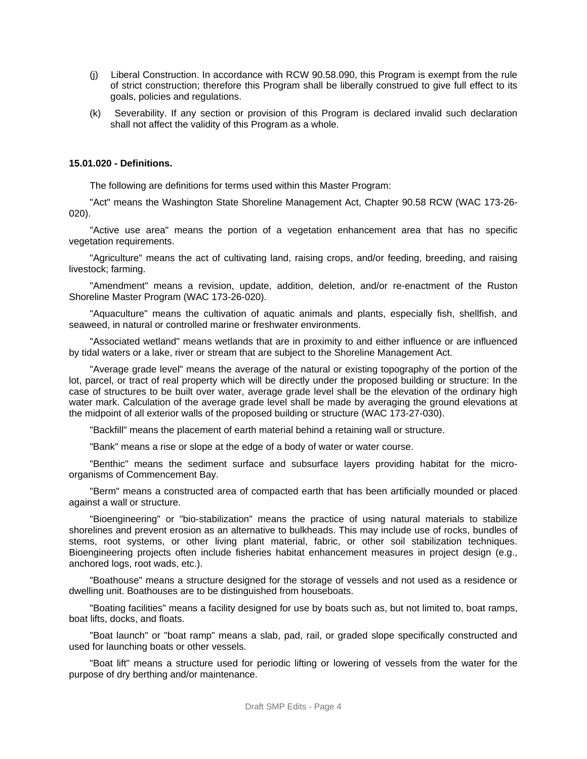- (j) Liberal Construction. In accordance with RCW 90.58.090, this Program is exempt from the rule of strict construction; therefore this Program shall be liberally construed to give full effect to its goals, policies and regulations.
- (k) Severability. If any section or provision of this Program is declared invalid such declaration shall not affect the validity of this Program as a whole.

#### **15.01.020 - Definitions.**

The following are definitions for terms used within this Master Program:

"Act" means the Washington State Shoreline Management Act, Chapter 90.58 RCW (WAC 173-26- 020).

"Active use area" means the portion of a vegetation enhancement area that has no specific vegetation requirements.

"Agriculture" means the act of cultivating land, raising crops, and/or feeding, breeding, and raising livestock; farming.

"Amendment" means a revision, update, addition, deletion, and/or re-enactment of the Ruston Shoreline Master Program (WAC 173-26-020).

"Aquaculture" means the cultivation of aquatic animals and plants, especially fish, shellfish, and seaweed, in natural or controlled marine or freshwater environments.

"Associated wetland" means wetlands that are in proximity to and either influence or are influenced by tidal waters or a lake, river or stream that are subject to the Shoreline Management Act.

"Average grade level" means the average of the natural or existing topography of the portion of the lot, parcel, or tract of real property which will be directly under the proposed building or structure: In the case of structures to be built over water, average grade level shall be the elevation of the ordinary high water mark. Calculation of the average grade level shall be made by averaging the ground elevations at the midpoint of all exterior walls of the proposed building or structure (WAC 173-27-030).

"Backfill" means the placement of earth material behind a retaining wall or structure.

"Bank" means a rise or slope at the edge of a body of water or water course.

"Benthic" means the sediment surface and subsurface layers providing habitat for the microorganisms of Commencement Bay.

"Berm" means a constructed area of compacted earth that has been artificially mounded or placed against a wall or structure.

"Bioengineering" or "bio-stabilization" means the practice of using natural materials to stabilize shorelines and prevent erosion as an alternative to bulkheads. This may include use of rocks, bundles of stems, root systems, or other living plant material, fabric, or other soil stabilization techniques. Bioengineering projects often include fisheries habitat enhancement measures in project design (e.g., anchored logs, root wads, etc.).

"Boathouse" means a structure designed for the storage of vessels and not used as a residence or dwelling unit. Boathouses are to be distinguished from houseboats.

"Boating facilities" means a facility designed for use by boats such as, but not limited to, boat ramps, boat lifts, docks, and floats.

"Boat launch" or "boat ramp" means a slab, pad, rail, or graded slope specifically constructed and used for launching boats or other vessels.

"Boat lift" means a structure used for periodic lifting or lowering of vessels from the water for the purpose of dry berthing and/or maintenance.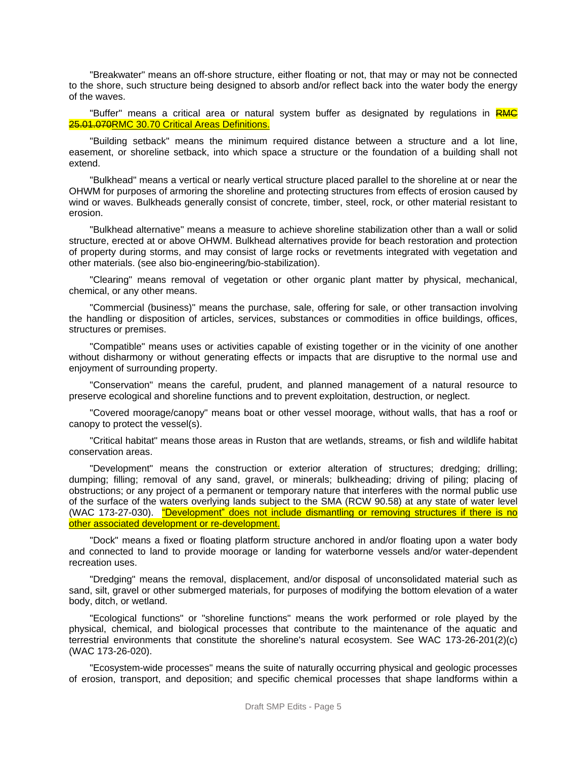"Breakwater" means an off-shore structure, either floating or not, that may or may not be connected to the shore, such structure being designed to absorb and/or reflect back into the water body the energy of the waves.

"Buffer" means a critical area or natural system buffer as designated by regulations in RMC 25.01.070RMC 30.70 Critical Areas Definitions.

"Building setback" means the minimum required distance between a structure and a lot line, easement, or shoreline setback, into which space a structure or the foundation of a building shall not extend.

"Bulkhead" means a vertical or nearly vertical structure placed parallel to the shoreline at or near the OHWM for purposes of armoring the shoreline and protecting structures from effects of erosion caused by wind or waves. Bulkheads generally consist of concrete, timber, steel, rock, or other material resistant to erosion.

"Bulkhead alternative" means a measure to achieve shoreline stabilization other than a wall or solid structure, erected at or above OHWM. Bulkhead alternatives provide for beach restoration and protection of property during storms, and may consist of large rocks or revetments integrated with vegetation and other materials. (see also bio-engineering/bio-stabilization).

"Clearing" means removal of vegetation or other organic plant matter by physical, mechanical, chemical, or any other means.

"Commercial (business)" means the purchase, sale, offering for sale, or other transaction involving the handling or disposition of articles, services, substances or commodities in office buildings, offices, structures or premises.

"Compatible" means uses or activities capable of existing together or in the vicinity of one another without disharmony or without generating effects or impacts that are disruptive to the normal use and enjoyment of surrounding property.

"Conservation" means the careful, prudent, and planned management of a natural resource to preserve ecological and shoreline functions and to prevent exploitation, destruction, or neglect.

"Covered moorage/canopy" means boat or other vessel moorage, without walls, that has a roof or canopy to protect the vessel(s).

"Critical habitat" means those areas in Ruston that are wetlands, streams, or fish and wildlife habitat conservation areas.

"Development" means the construction or exterior alteration of structures; dredging; drilling; dumping; filling; removal of any sand, gravel, or minerals; bulkheading; driving of piling; placing of obstructions; or any project of a permanent or temporary nature that interferes with the normal public use of the surface of the waters overlying lands subject to the SMA (RCW 90.58) at any state of water level (WAC 173-27-030). "Development" does not include dismantling or removing structures if there is no other associated development or re-development.

"Dock" means a fixed or floating platform structure anchored in and/or floating upon a water body and connected to land to provide moorage or landing for waterborne vessels and/or water-dependent recreation uses.

"Dredging" means the removal, displacement, and/or disposal of unconsolidated material such as sand, silt, gravel or other submerged materials, for purposes of modifying the bottom elevation of a water body, ditch, or wetland.

"Ecological functions" or "shoreline functions" means the work performed or role played by the physical, chemical, and biological processes that contribute to the maintenance of the aquatic and terrestrial environments that constitute the shoreline's natural ecosystem. See WAC 173-26-201(2)(c) (WAC 173-26-020).

"Ecosystem-wide processes" means the suite of naturally occurring physical and geologic processes of erosion, transport, and deposition; and specific chemical processes that shape landforms within a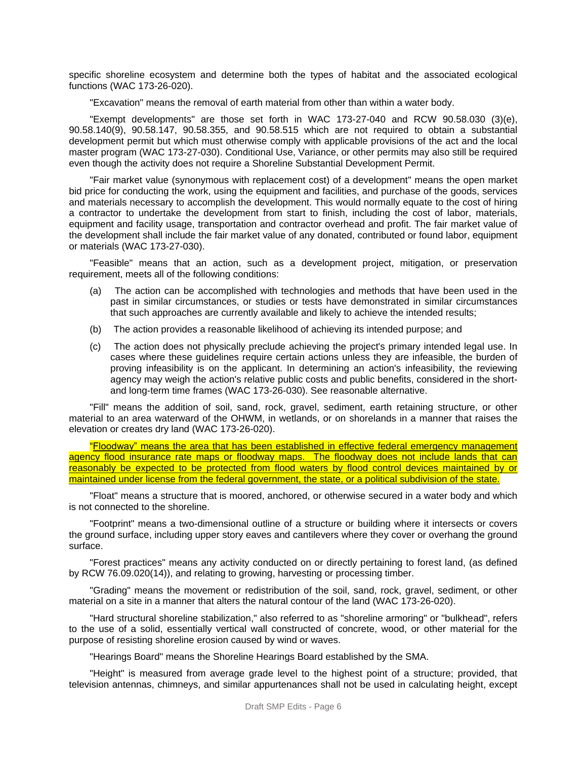specific shoreline ecosystem and determine both the types of habitat and the associated ecological functions (WAC 173-26-020).

"Excavation" means the removal of earth material from other than within a water body.

"Exempt developments" are those set forth in WAC 173-27-040 and RCW 90.58.030 (3)(e), 90.58.140(9), 90.58.147, 90.58.355, and 90.58.515 which are not required to obtain a substantial development permit but which must otherwise comply with applicable provisions of the act and the local master program (WAC 173-27-030). Conditional Use, Variance, or other permits may also still be required even though the activity does not require a Shoreline Substantial Development Permit.

"Fair market value (synonymous with replacement cost) of a development" means the open market bid price for conducting the work, using the equipment and facilities, and purchase of the goods, services and materials necessary to accomplish the development. This would normally equate to the cost of hiring a contractor to undertake the development from start to finish, including the cost of labor, materials, equipment and facility usage, transportation and contractor overhead and profit. The fair market value of the development shall include the fair market value of any donated, contributed or found labor, equipment or materials (WAC 173-27-030).

"Feasible" means that an action, such as a development project, mitigation, or preservation requirement, meets all of the following conditions:

- (a) The action can be accomplished with technologies and methods that have been used in the past in similar circumstances, or studies or tests have demonstrated in similar circumstances that such approaches are currently available and likely to achieve the intended results;
- (b) The action provides a reasonable likelihood of achieving its intended purpose; and
- (c) The action does not physically preclude achieving the project's primary intended legal use. In cases where these guidelines require certain actions unless they are infeasible, the burden of proving infeasibility is on the applicant. In determining an action's infeasibility, the reviewing agency may weigh the action's relative public costs and public benefits, considered in the shortand long-term time frames (WAC 173-26-030). See reasonable alternative.

"Fill" means the addition of soil, sand, rock, gravel, sediment, earth retaining structure, or other material to an area waterward of the OHWM, in wetlands, or on shorelands in a manner that raises the elevation or creates dry land (WAC 173-26-020).

"Floodway" means the area that has been established in effective federal emergency management agency flood insurance rate maps or floodway maps. The floodway does not include lands that can reasonably be expected to be protected from flood waters by flood control devices maintained by or maintained under license from the federal government, the state, or a political subdivision of the state.

"Float" means a structure that is moored, anchored, or otherwise secured in a water body and which is not connected to the shoreline.

"Footprint" means a two-dimensional outline of a structure or building where it intersects or covers the ground surface, including upper story eaves and cantilevers where they cover or overhang the ground surface.

"Forest practices" means any activity conducted on or directly pertaining to forest land, (as defined by RCW 76.09.020(14)), and relating to growing, harvesting or processing timber.

"Grading" means the movement or redistribution of the soil, sand, rock, gravel, sediment, or other material on a site in a manner that alters the natural contour of the land (WAC 173-26-020).

"Hard structural shoreline stabilization," also referred to as "shoreline armoring" or "bulkhead", refers to the use of a solid, essentially vertical wall constructed of concrete, wood, or other material for the purpose of resisting shoreline erosion caused by wind or waves.

"Hearings Board" means the Shoreline Hearings Board established by the SMA.

"Height" is measured from average grade level to the highest point of a structure; provided, that television antennas, chimneys, and similar appurtenances shall not be used in calculating height, except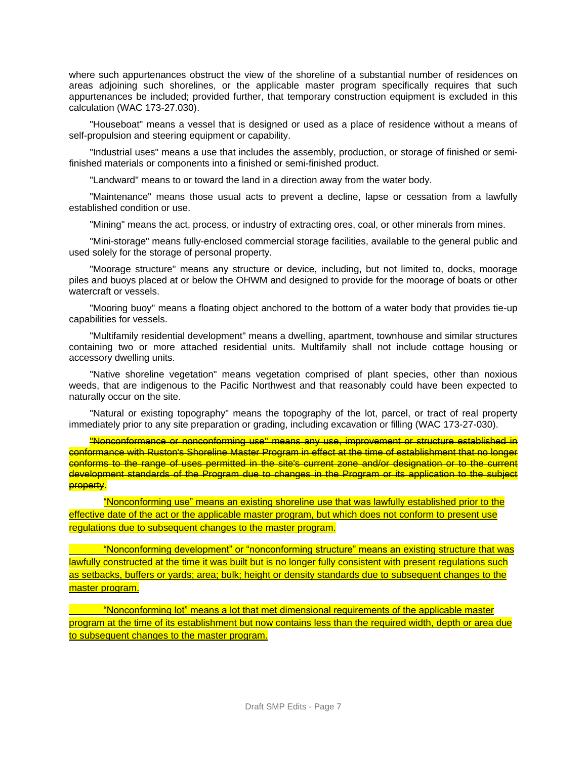where such appurtenances obstruct the view of the shoreline of a substantial number of residences on areas adjoining such shorelines, or the applicable master program specifically requires that such appurtenances be included; provided further, that temporary construction equipment is excluded in this calculation (WAC 173-27.030).

"Houseboat" means a vessel that is designed or used as a place of residence without a means of self-propulsion and steering equipment or capability.

"Industrial uses" means a use that includes the assembly, production, or storage of finished or semifinished materials or components into a finished or semi-finished product.

"Landward" means to or toward the land in a direction away from the water body.

"Maintenance" means those usual acts to prevent a decline, lapse or cessation from a lawfully established condition or use.

"Mining" means the act, process, or industry of extracting ores, coal, or other minerals from mines.

"Mini-storage" means fully-enclosed commercial storage facilities, available to the general public and used solely for the storage of personal property.

"Moorage structure" means any structure or device, including, but not limited to, docks, moorage piles and buoys placed at or below the OHWM and designed to provide for the moorage of boats or other watercraft or vessels.

"Mooring buoy" means a floating object anchored to the bottom of a water body that provides tie-up capabilities for vessels.

"Multifamily residential development" means a dwelling, apartment, townhouse and similar structures containing two or more attached residential units. Multifamily shall not include cottage housing or accessory dwelling units.

"Native shoreline vegetation" means vegetation comprised of plant species, other than noxious weeds, that are indigenous to the Pacific Northwest and that reasonably could have been expected to naturally occur on the site.

"Natural or existing topography" means the topography of the lot, parcel, or tract of real property immediately prior to any site preparation or grading, including excavation or filling (WAC 173-27-030).

"Nonconformance or nonconforming use" means any use, improvement or structure established in conformance with Ruston's Shoreline Master Program in effect at the time of establishment that no longer conforms to the range of uses permitted in the site's current zone and/or designation or to the current development standards of the Program due to changes in the Program or its application to the subject property.

"Nonconforming use" means an existing shoreline use that was lawfully established prior to the effective date of the act or the applicable master program, but which does not conform to present use regulations due to subsequent changes to the master program.

"Nonconforming development" or "nonconforming structure" means an existing structure that was lawfully constructed at the time it was built but is no longer fully consistent with present regulations such as setbacks, buffers or yards; area; bulk; height or density standards due to subsequent changes to the master program.

"Nonconforming lot" means a lot that met dimensional requirements of the applicable master program at the time of its establishment but now contains less than the required width, depth or area due to subsequent changes to the master program.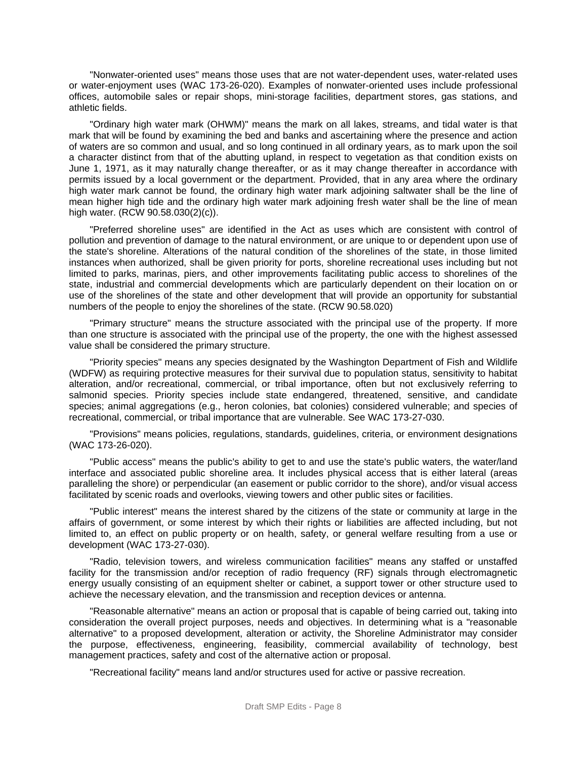"Nonwater-oriented uses" means those uses that are not water-dependent uses, water-related uses or water-enjoyment uses (WAC 173-26-020). Examples of nonwater-oriented uses include professional offices, automobile sales or repair shops, mini-storage facilities, department stores, gas stations, and athletic fields.

"Ordinary high water mark (OHWM)" means the mark on all lakes, streams, and tidal water is that mark that will be found by examining the bed and banks and ascertaining where the presence and action of waters are so common and usual, and so long continued in all ordinary years, as to mark upon the soil a character distinct from that of the abutting upland, in respect to vegetation as that condition exists on June 1, 1971, as it may naturally change thereafter, or as it may change thereafter in accordance with permits issued by a local government or the department. Provided, that in any area where the ordinary high water mark cannot be found, the ordinary high water mark adjoining saltwater shall be the line of mean higher high tide and the ordinary high water mark adjoining fresh water shall be the line of mean high water. (RCW 90.58.030(2)(c)).

"Preferred shoreline uses" are identified in the Act as uses which are consistent with control of pollution and prevention of damage to the natural environment, or are unique to or dependent upon use of the state's shoreline. Alterations of the natural condition of the shorelines of the state, in those limited instances when authorized, shall be given priority for ports, shoreline recreational uses including but not limited to parks, marinas, piers, and other improvements facilitating public access to shorelines of the state, industrial and commercial developments which are particularly dependent on their location on or use of the shorelines of the state and other development that will provide an opportunity for substantial numbers of the people to enjoy the shorelines of the state. (RCW 90.58.020)

"Primary structure" means the structure associated with the principal use of the property. If more than one structure is associated with the principal use of the property, the one with the highest assessed value shall be considered the primary structure.

"Priority species" means any species designated by the Washington Department of Fish and Wildlife (WDFW) as requiring protective measures for their survival due to population status, sensitivity to habitat alteration, and/or recreational, commercial, or tribal importance, often but not exclusively referring to salmonid species. Priority species include state endangered, threatened, sensitive, and candidate species; animal aggregations (e.g., heron colonies, bat colonies) considered vulnerable; and species of recreational, commercial, or tribal importance that are vulnerable. See WAC 173-27-030.

"Provisions" means policies, regulations, standards, guidelines, criteria, or environment designations (WAC 173-26-020).

"Public access" means the public's ability to get to and use the state's public waters, the water/land interface and associated public shoreline area. It includes physical access that is either lateral (areas paralleling the shore) or perpendicular (an easement or public corridor to the shore), and/or visual access facilitated by scenic roads and overlooks, viewing towers and other public sites or facilities.

"Public interest" means the interest shared by the citizens of the state or community at large in the affairs of government, or some interest by which their rights or liabilities are affected including, but not limited to, an effect on public property or on health, safety, or general welfare resulting from a use or development (WAC 173-27-030).

"Radio, television towers, and wireless communication facilities" means any staffed or unstaffed facility for the transmission and/or reception of radio frequency (RF) signals through electromagnetic energy usually consisting of an equipment shelter or cabinet, a support tower or other structure used to achieve the necessary elevation, and the transmission and reception devices or antenna.

"Reasonable alternative" means an action or proposal that is capable of being carried out, taking into consideration the overall project purposes, needs and objectives. In determining what is a "reasonable alternative" to a proposed development, alteration or activity, the Shoreline Administrator may consider the purpose, effectiveness, engineering, feasibility, commercial availability of technology, best management practices, safety and cost of the alternative action or proposal.

"Recreational facility" means land and/or structures used for active or passive recreation.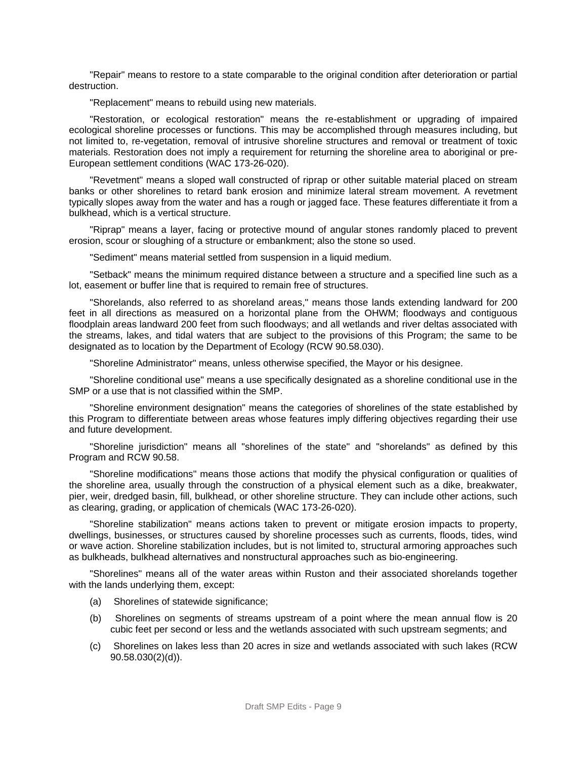"Repair" means to restore to a state comparable to the original condition after deterioration or partial destruction.

"Replacement" means to rebuild using new materials.

"Restoration, or ecological restoration" means the re-establishment or upgrading of impaired ecological shoreline processes or functions. This may be accomplished through measures including, but not limited to, re-vegetation, removal of intrusive shoreline structures and removal or treatment of toxic materials. Restoration does not imply a requirement for returning the shoreline area to aboriginal or pre-European settlement conditions (WAC 173-26-020).

"Revetment" means a sloped wall constructed of riprap or other suitable material placed on stream banks or other shorelines to retard bank erosion and minimize lateral stream movement. A revetment typically slopes away from the water and has a rough or jagged face. These features differentiate it from a bulkhead, which is a vertical structure.

"Riprap" means a layer, facing or protective mound of angular stones randomly placed to prevent erosion, scour or sloughing of a structure or embankment; also the stone so used.

"Sediment" means material settled from suspension in a liquid medium.

"Setback" means the minimum required distance between a structure and a specified line such as a lot, easement or buffer line that is required to remain free of structures.

"Shorelands, also referred to as shoreland areas," means those lands extending landward for 200 feet in all directions as measured on a horizontal plane from the OHWM; floodways and contiguous floodplain areas landward 200 feet from such floodways; and all wetlands and river deltas associated with the streams, lakes, and tidal waters that are subject to the provisions of this Program; the same to be designated as to location by the Department of Ecology (RCW 90.58.030).

"Shoreline Administrator" means, unless otherwise specified, the Mayor or his designee.

"Shoreline conditional use" means a use specifically designated as a shoreline conditional use in the SMP or a use that is not classified within the SMP.

"Shoreline environment designation" means the categories of shorelines of the state established by this Program to differentiate between areas whose features imply differing objectives regarding their use and future development.

"Shoreline jurisdiction" means all "shorelines of the state" and "shorelands" as defined by this Program and RCW 90.58.

"Shoreline modifications" means those actions that modify the physical configuration or qualities of the shoreline area, usually through the construction of a physical element such as a dike, breakwater, pier, weir, dredged basin, fill, bulkhead, or other shoreline structure. They can include other actions, such as clearing, grading, or application of chemicals (WAC 173-26-020).

"Shoreline stabilization" means actions taken to prevent or mitigate erosion impacts to property, dwellings, businesses, or structures caused by shoreline processes such as currents, floods, tides, wind or wave action. Shoreline stabilization includes, but is not limited to, structural armoring approaches such as bulkheads, bulkhead alternatives and nonstructural approaches such as bio-engineering.

"Shorelines" means all of the water areas within Ruston and their associated shorelands together with the lands underlying them, except:

- (a) Shorelines of statewide significance;
- (b) Shorelines on segments of streams upstream of a point where the mean annual flow is 20 cubic feet per second or less and the wetlands associated with such upstream segments; and
- (c) Shorelines on lakes less than 20 acres in size and wetlands associated with such lakes (RCW 90.58.030(2)(d)).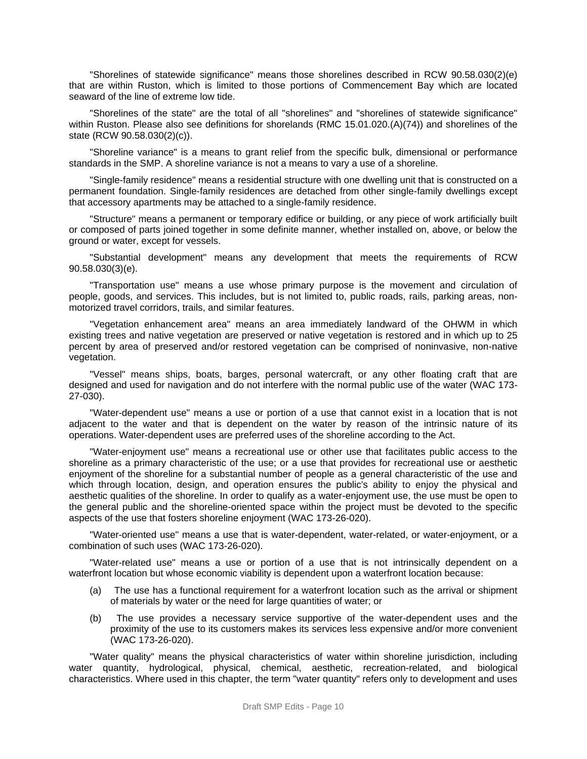"Shorelines of statewide significance" means those shorelines described in RCW 90.58.030(2)(e) that are within Ruston, which is limited to those portions of Commencement Bay which are located seaward of the line of extreme low tide.

"Shorelines of the state" are the total of all "shorelines" and "shorelines of statewide significance" within Ruston. Please also see definitions for shorelands (RMC 15.01.020.(A)(74)) and shorelines of the state (RCW 90.58.030(2)(c)).

"Shoreline variance" is a means to grant relief from the specific bulk, dimensional or performance standards in the SMP. A shoreline variance is not a means to vary a use of a shoreline.

"Single-family residence" means a residential structure with one dwelling unit that is constructed on a permanent foundation. Single-family residences are detached from other single-family dwellings except that accessory apartments may be attached to a single-family residence.

"Structure" means a permanent or temporary edifice or building, or any piece of work artificially built or composed of parts joined together in some definite manner, whether installed on, above, or below the ground or water, except for vessels.

"Substantial development" means any development that meets the requirements of RCW 90.58.030(3)(e).

"Transportation use" means a use whose primary purpose is the movement and circulation of people, goods, and services. This includes, but is not limited to, public roads, rails, parking areas, nonmotorized travel corridors, trails, and similar features.

"Vegetation enhancement area" means an area immediately landward of the OHWM in which existing trees and native vegetation are preserved or native vegetation is restored and in which up to 25 percent by area of preserved and/or restored vegetation can be comprised of noninvasive, non-native vegetation.

"Vessel" means ships, boats, barges, personal watercraft, or any other floating craft that are designed and used for navigation and do not interfere with the normal public use of the water (WAC 173- 27-030).

"Water-dependent use" means a use or portion of a use that cannot exist in a location that is not adjacent to the water and that is dependent on the water by reason of the intrinsic nature of its operations. Water-dependent uses are preferred uses of the shoreline according to the Act.

"Water-enjoyment use" means a recreational use or other use that facilitates public access to the shoreline as a primary characteristic of the use; or a use that provides for recreational use or aesthetic enjoyment of the shoreline for a substantial number of people as a general characteristic of the use and which through location, design, and operation ensures the public's ability to enjoy the physical and aesthetic qualities of the shoreline. In order to qualify as a water-enjoyment use, the use must be open to the general public and the shoreline-oriented space within the project must be devoted to the specific aspects of the use that fosters shoreline enjoyment (WAC 173-26-020).

"Water-oriented use" means a use that is water-dependent, water-related, or water-enjoyment, or a combination of such uses (WAC 173-26-020).

"Water-related use" means a use or portion of a use that is not intrinsically dependent on a waterfront location but whose economic viability is dependent upon a waterfront location because:

- (a) The use has a functional requirement for a waterfront location such as the arrival or shipment of materials by water or the need for large quantities of water; or
- (b) The use provides a necessary service supportive of the water-dependent uses and the proximity of the use to its customers makes its services less expensive and/or more convenient (WAC 173-26-020).

"Water quality" means the physical characteristics of water within shoreline jurisdiction, including water quantity, hydrological, physical, chemical, aesthetic, recreation-related, and biological characteristics. Where used in this chapter, the term "water quantity" refers only to development and uses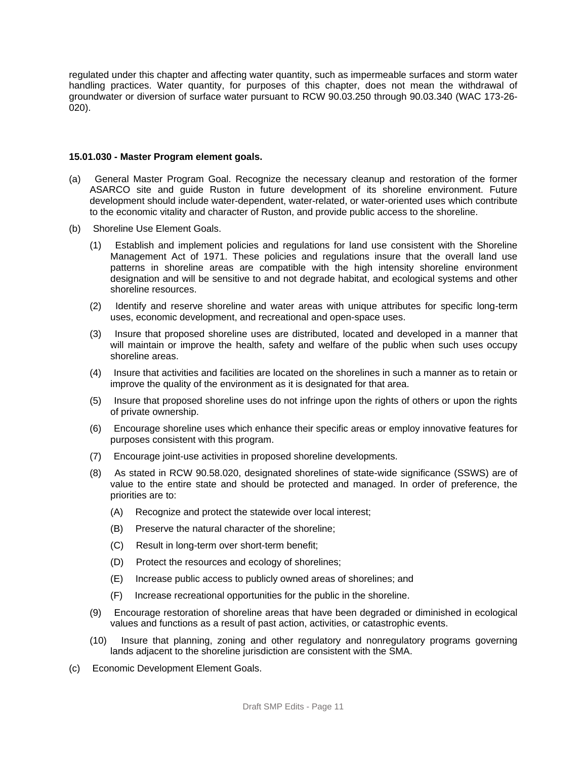regulated under this chapter and affecting water quantity, such as impermeable surfaces and storm water handling practices. Water quantity, for purposes of this chapter, does not mean the withdrawal of groundwater or diversion of surface water pursuant to RCW 90.03.250 through 90.03.340 (WAC 173-26- 020).

#### **15.01.030 - Master Program element goals.**

- (a) General Master Program Goal. Recognize the necessary cleanup and restoration of the former ASARCO site and guide Ruston in future development of its shoreline environment. Future development should include water-dependent, water-related, or water-oriented uses which contribute to the economic vitality and character of Ruston, and provide public access to the shoreline.
- (b) Shoreline Use Element Goals.
	- (1) Establish and implement policies and regulations for land use consistent with the Shoreline Management Act of 1971. These policies and regulations insure that the overall land use patterns in shoreline areas are compatible with the high intensity shoreline environment designation and will be sensitive to and not degrade habitat, and ecological systems and other shoreline resources.
	- (2) Identify and reserve shoreline and water areas with unique attributes for specific long-term uses, economic development, and recreational and open-space uses.
	- (3) Insure that proposed shoreline uses are distributed, located and developed in a manner that will maintain or improve the health, safety and welfare of the public when such uses occupy shoreline areas.
	- (4) Insure that activities and facilities are located on the shorelines in such a manner as to retain or improve the quality of the environment as it is designated for that area.
	- (5) Insure that proposed shoreline uses do not infringe upon the rights of others or upon the rights of private ownership.
	- (6) Encourage shoreline uses which enhance their specific areas or employ innovative features for purposes consistent with this program.
	- (7) Encourage joint-use activities in proposed shoreline developments.
	- (8) As stated in RCW 90.58.020, designated shorelines of state-wide significance (SSWS) are of value to the entire state and should be protected and managed. In order of preference, the priorities are to:
		- (A) Recognize and protect the statewide over local interest;
		- (B) Preserve the natural character of the shoreline;
		- (C) Result in long-term over short-term benefit;
		- (D) Protect the resources and ecology of shorelines;
		- (E) Increase public access to publicly owned areas of shorelines; and
		- (F) Increase recreational opportunities for the public in the shoreline.
	- (9) Encourage restoration of shoreline areas that have been degraded or diminished in ecological values and functions as a result of past action, activities, or catastrophic events.
	- (10) Insure that planning, zoning and other regulatory and nonregulatory programs governing lands adjacent to the shoreline jurisdiction are consistent with the SMA.
- (c) Economic Development Element Goals.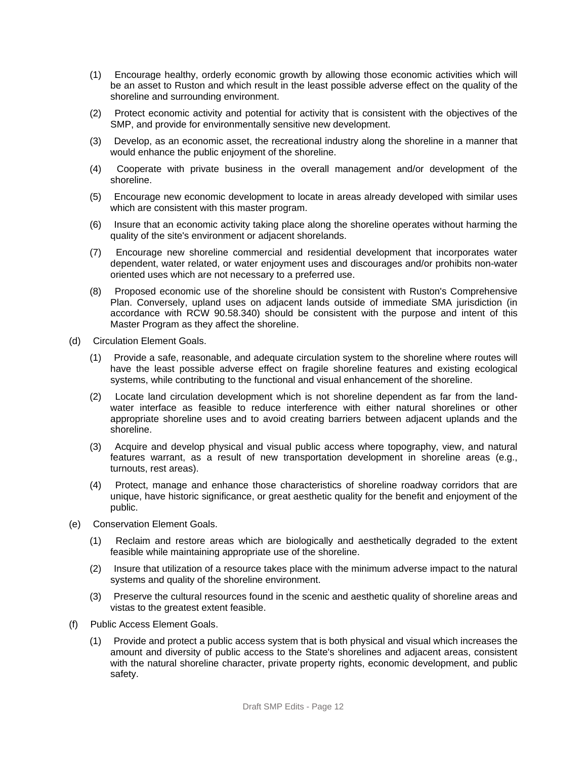- (1) Encourage healthy, orderly economic growth by allowing those economic activities which will be an asset to Ruston and which result in the least possible adverse effect on the quality of the shoreline and surrounding environment.
- (2) Protect economic activity and potential for activity that is consistent with the objectives of the SMP, and provide for environmentally sensitive new development.
- (3) Develop, as an economic asset, the recreational industry along the shoreline in a manner that would enhance the public enjoyment of the shoreline.
- (4) Cooperate with private business in the overall management and/or development of the shoreline.
- (5) Encourage new economic development to locate in areas already developed with similar uses which are consistent with this master program.
- (6) Insure that an economic activity taking place along the shoreline operates without harming the quality of the site's environment or adjacent shorelands.
- (7) Encourage new shoreline commercial and residential development that incorporates water dependent, water related, or water enjoyment uses and discourages and/or prohibits non-water oriented uses which are not necessary to a preferred use.
- (8) Proposed economic use of the shoreline should be consistent with Ruston's Comprehensive Plan. Conversely, upland uses on adjacent lands outside of immediate SMA jurisdiction (in accordance with RCW 90.58.340) should be consistent with the purpose and intent of this Master Program as they affect the shoreline.
- (d) Circulation Element Goals.
	- (1) Provide a safe, reasonable, and adequate circulation system to the shoreline where routes will have the least possible adverse effect on fragile shoreline features and existing ecological systems, while contributing to the functional and visual enhancement of the shoreline.
	- (2) Locate land circulation development which is not shoreline dependent as far from the landwater interface as feasible to reduce interference with either natural shorelines or other appropriate shoreline uses and to avoid creating barriers between adjacent uplands and the shoreline.
	- (3) Acquire and develop physical and visual public access where topography, view, and natural features warrant, as a result of new transportation development in shoreline areas (e.g., turnouts, rest areas).
	- (4) Protect, manage and enhance those characteristics of shoreline roadway corridors that are unique, have historic significance, or great aesthetic quality for the benefit and enjoyment of the public.
- (e) Conservation Element Goals.
	- (1) Reclaim and restore areas which are biologically and aesthetically degraded to the extent feasible while maintaining appropriate use of the shoreline.
	- (2) Insure that utilization of a resource takes place with the minimum adverse impact to the natural systems and quality of the shoreline environment.
	- (3) Preserve the cultural resources found in the scenic and aesthetic quality of shoreline areas and vistas to the greatest extent feasible.
- (f) Public Access Element Goals.
	- (1) Provide and protect a public access system that is both physical and visual which increases the amount and diversity of public access to the State's shorelines and adjacent areas, consistent with the natural shoreline character, private property rights, economic development, and public safety.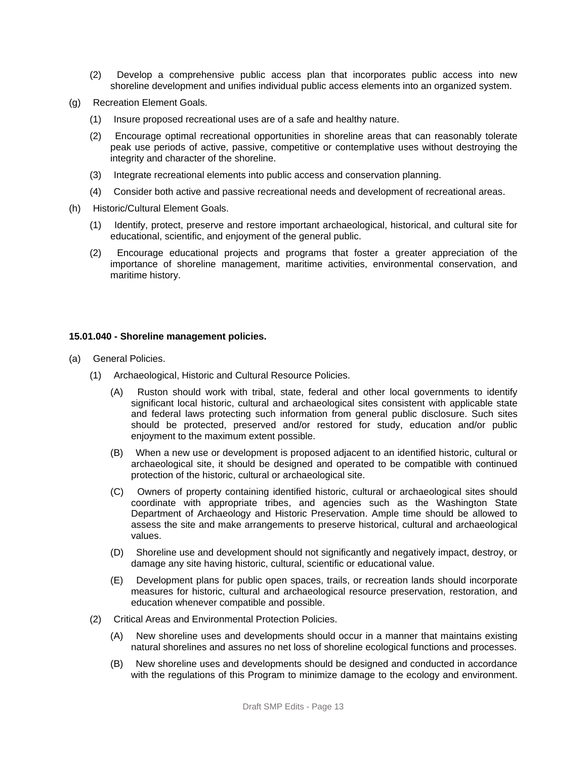- (2) Develop a comprehensive public access plan that incorporates public access into new shoreline development and unifies individual public access elements into an organized system.
- (g) Recreation Element Goals.
	- (1) Insure proposed recreational uses are of a safe and healthy nature.
	- (2) Encourage optimal recreational opportunities in shoreline areas that can reasonably tolerate peak use periods of active, passive, competitive or contemplative uses without destroying the integrity and character of the shoreline.
	- (3) Integrate recreational elements into public access and conservation planning.
	- (4) Consider both active and passive recreational needs and development of recreational areas.
- (h) Historic/Cultural Element Goals.
	- (1) Identify, protect, preserve and restore important archaeological, historical, and cultural site for educational, scientific, and enjoyment of the general public.
	- (2) Encourage educational projects and programs that foster a greater appreciation of the importance of shoreline management, maritime activities, environmental conservation, and maritime history.

#### **15.01.040 - Shoreline management policies.**

- (a) General Policies.
	- (1) Archaeological, Historic and Cultural Resource Policies.
		- (A) Ruston should work with tribal, state, federal and other local governments to identify significant local historic, cultural and archaeological sites consistent with applicable state and federal laws protecting such information from general public disclosure. Such sites should be protected, preserved and/or restored for study, education and/or public enjoyment to the maximum extent possible.
		- (B) When a new use or development is proposed adjacent to an identified historic, cultural or archaeological site, it should be designed and operated to be compatible with continued protection of the historic, cultural or archaeological site.
		- (C) Owners of property containing identified historic, cultural or archaeological sites should coordinate with appropriate tribes, and agencies such as the Washington State Department of Archaeology and Historic Preservation. Ample time should be allowed to assess the site and make arrangements to preserve historical, cultural and archaeological values.
		- (D) Shoreline use and development should not significantly and negatively impact, destroy, or damage any site having historic, cultural, scientific or educational value.
		- (E) Development plans for public open spaces, trails, or recreation lands should incorporate measures for historic, cultural and archaeological resource preservation, restoration, and education whenever compatible and possible.
	- (2) Critical Areas and Environmental Protection Policies.
		- (A) New shoreline uses and developments should occur in a manner that maintains existing natural shorelines and assures no net loss of shoreline ecological functions and processes.
		- (B) New shoreline uses and developments should be designed and conducted in accordance with the regulations of this Program to minimize damage to the ecology and environment.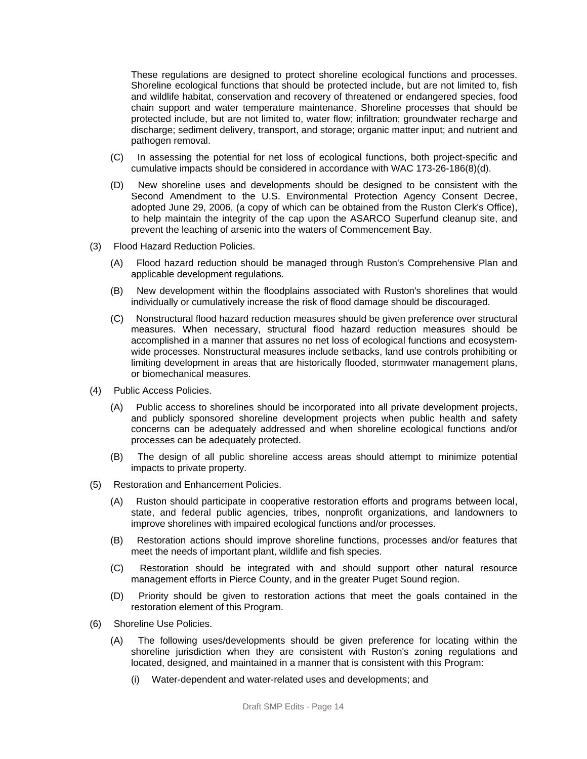These regulations are designed to protect shoreline ecological functions and processes. Shoreline ecological functions that should be protected include, but are not limited to, fish and wildlife habitat, conservation and recovery of threatened or endangered species, food chain support and water temperature maintenance. Shoreline processes that should be protected include, but are not limited to, water flow; infiltration; groundwater recharge and discharge; sediment delivery, transport, and storage; organic matter input; and nutrient and pathogen removal.

- (C) In assessing the potential for net loss of ecological functions, both project-specific and cumulative impacts should be considered in accordance with WAC 173-26-186(8)(d).
- (D) New shoreline uses and developments should be designed to be consistent with the Second Amendment to the U.S. Environmental Protection Agency Consent Decree, adopted June 29, 2006, (a copy of which can be obtained from the Ruston Clerk's Office), to help maintain the integrity of the cap upon the ASARCO Superfund cleanup site, and prevent the leaching of arsenic into the waters of Commencement Bay.
- (3) Flood Hazard Reduction Policies.
	- (A) Flood hazard reduction should be managed through Ruston's Comprehensive Plan and applicable development regulations.
	- (B) New development within the floodplains associated with Ruston's shorelines that would individually or cumulatively increase the risk of flood damage should be discouraged.
	- (C) Nonstructural flood hazard reduction measures should be given preference over structural measures. When necessary, structural flood hazard reduction measures should be accomplished in a manner that assures no net loss of ecological functions and ecosystemwide processes. Nonstructural measures include setbacks, land use controls prohibiting or limiting development in areas that are historically flooded, stormwater management plans, or biomechanical measures.
- (4) Public Access Policies.
	- (A) Public access to shorelines should be incorporated into all private development projects, and publicly sponsored shoreline development projects when public health and safety concerns can be adequately addressed and when shoreline ecological functions and/or processes can be adequately protected.
	- (B) The design of all public shoreline access areas should attempt to minimize potential impacts to private property.
- (5) Restoration and Enhancement Policies.
	- (A) Ruston should participate in cooperative restoration efforts and programs between local, state, and federal public agencies, tribes, nonprofit organizations, and landowners to improve shorelines with impaired ecological functions and/or processes.
	- (B) Restoration actions should improve shoreline functions, processes and/or features that meet the needs of important plant, wildlife and fish species.
	- (C) Restoration should be integrated with and should support other natural resource management efforts in Pierce County, and in the greater Puget Sound region.
	- (D) Priority should be given to restoration actions that meet the goals contained in the restoration element of this Program.
- (6) Shoreline Use Policies.
	- (A) The following uses/developments should be given preference for locating within the shoreline jurisdiction when they are consistent with Ruston's zoning regulations and located, designed, and maintained in a manner that is consistent with this Program:
		- (i) Water-dependent and water-related uses and developments; and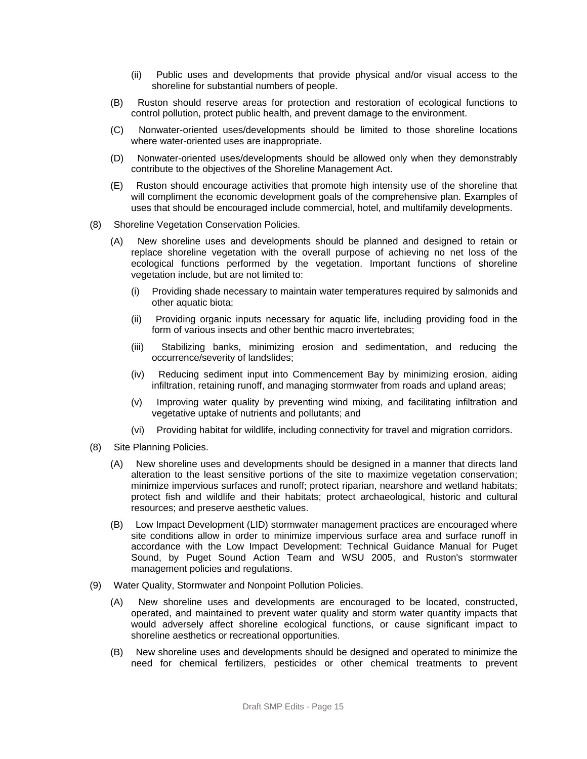- (ii) Public uses and developments that provide physical and/or visual access to the shoreline for substantial numbers of people.
- (B) Ruston should reserve areas for protection and restoration of ecological functions to control pollution, protect public health, and prevent damage to the environment.
- (C) Nonwater-oriented uses/developments should be limited to those shoreline locations where water-oriented uses are inappropriate.
- (D) Nonwater-oriented uses/developments should be allowed only when they demonstrably contribute to the objectives of the Shoreline Management Act.
- (E) Ruston should encourage activities that promote high intensity use of the shoreline that will compliment the economic development goals of the comprehensive plan. Examples of uses that should be encouraged include commercial, hotel, and multifamily developments.
- (8) Shoreline Vegetation Conservation Policies.
	- (A) New shoreline uses and developments should be planned and designed to retain or replace shoreline vegetation with the overall purpose of achieving no net loss of the ecological functions performed by the vegetation. Important functions of shoreline vegetation include, but are not limited to:
		- (i) Providing shade necessary to maintain water temperatures required by salmonids and other aquatic biota;
		- (ii) Providing organic inputs necessary for aquatic life, including providing food in the form of various insects and other benthic macro invertebrates;
		- (iii) Stabilizing banks, minimizing erosion and sedimentation, and reducing the occurrence/severity of landslides;
		- (iv) Reducing sediment input into Commencement Bay by minimizing erosion, aiding infiltration, retaining runoff, and managing stormwater from roads and upland areas;
		- (v) Improving water quality by preventing wind mixing, and facilitating infiltration and vegetative uptake of nutrients and pollutants; and
		- (vi) Providing habitat for wildlife, including connectivity for travel and migration corridors.
- (8) Site Planning Policies.
	- (A) New shoreline uses and developments should be designed in a manner that directs land alteration to the least sensitive portions of the site to maximize vegetation conservation; minimize impervious surfaces and runoff; protect riparian, nearshore and wetland habitats; protect fish and wildlife and their habitats; protect archaeological, historic and cultural resources; and preserve aesthetic values.
	- (B) Low Impact Development (LID) stormwater management practices are encouraged where site conditions allow in order to minimize impervious surface area and surface runoff in accordance with the Low Impact Development: Technical Guidance Manual for Puget Sound, by Puget Sound Action Team and WSU 2005, and Ruston's stormwater management policies and regulations.
- (9) Water Quality, Stormwater and Nonpoint Pollution Policies.
	- (A) New shoreline uses and developments are encouraged to be located, constructed, operated, and maintained to prevent water quality and storm water quantity impacts that would adversely affect shoreline ecological functions, or cause significant impact to shoreline aesthetics or recreational opportunities.
	- (B) New shoreline uses and developments should be designed and operated to minimize the need for chemical fertilizers, pesticides or other chemical treatments to prevent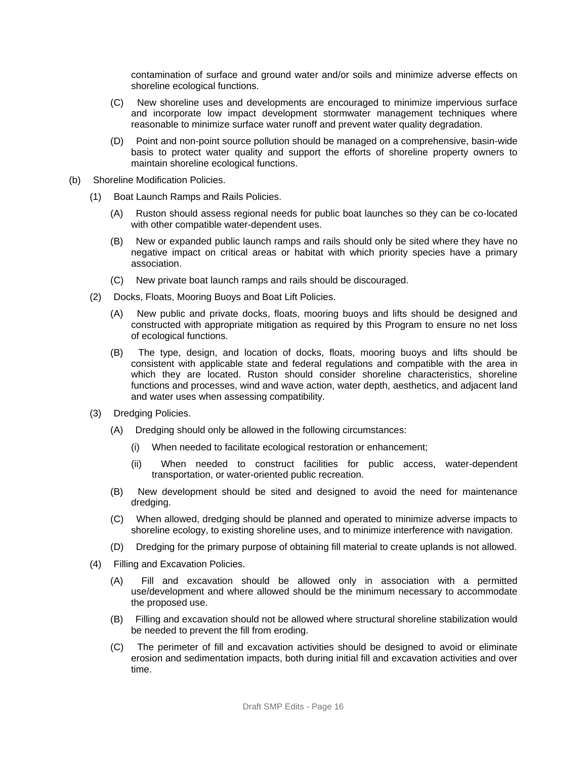contamination of surface and ground water and/or soils and minimize adverse effects on shoreline ecological functions.

- (C) New shoreline uses and developments are encouraged to minimize impervious surface and incorporate low impact development stormwater management techniques where reasonable to minimize surface water runoff and prevent water quality degradation.
- (D) Point and non-point source pollution should be managed on a comprehensive, basin-wide basis to protect water quality and support the efforts of shoreline property owners to maintain shoreline ecological functions.
- (b) Shoreline Modification Policies.
	- (1) Boat Launch Ramps and Rails Policies.
		- (A) Ruston should assess regional needs for public boat launches so they can be co-located with other compatible water-dependent uses.
		- (B) New or expanded public launch ramps and rails should only be sited where they have no negative impact on critical areas or habitat with which priority species have a primary association.
		- (C) New private boat launch ramps and rails should be discouraged.
	- (2) Docks, Floats, Mooring Buoys and Boat Lift Policies.
		- (A) New public and private docks, floats, mooring buoys and lifts should be designed and constructed with appropriate mitigation as required by this Program to ensure no net loss of ecological functions.
		- (B) The type, design, and location of docks, floats, mooring buoys and lifts should be consistent with applicable state and federal regulations and compatible with the area in which they are located. Ruston should consider shoreline characteristics, shoreline functions and processes, wind and wave action, water depth, aesthetics, and adjacent land and water uses when assessing compatibility.
	- (3) Dredging Policies.
		- (A) Dredging should only be allowed in the following circumstances:
			- (i) When needed to facilitate ecological restoration or enhancement;
			- (ii) When needed to construct facilities for public access, water-dependent transportation, or water-oriented public recreation.
		- (B) New development should be sited and designed to avoid the need for maintenance dredging.
		- (C) When allowed, dredging should be planned and operated to minimize adverse impacts to shoreline ecology, to existing shoreline uses, and to minimize interference with navigation.
		- (D) Dredging for the primary purpose of obtaining fill material to create uplands is not allowed.
	- (4) Filling and Excavation Policies.
		- (A) Fill and excavation should be allowed only in association with a permitted use/development and where allowed should be the minimum necessary to accommodate the proposed use.
		- (B) Filling and excavation should not be allowed where structural shoreline stabilization would be needed to prevent the fill from eroding.
		- (C) The perimeter of fill and excavation activities should be designed to avoid or eliminate erosion and sedimentation impacts, both during initial fill and excavation activities and over time.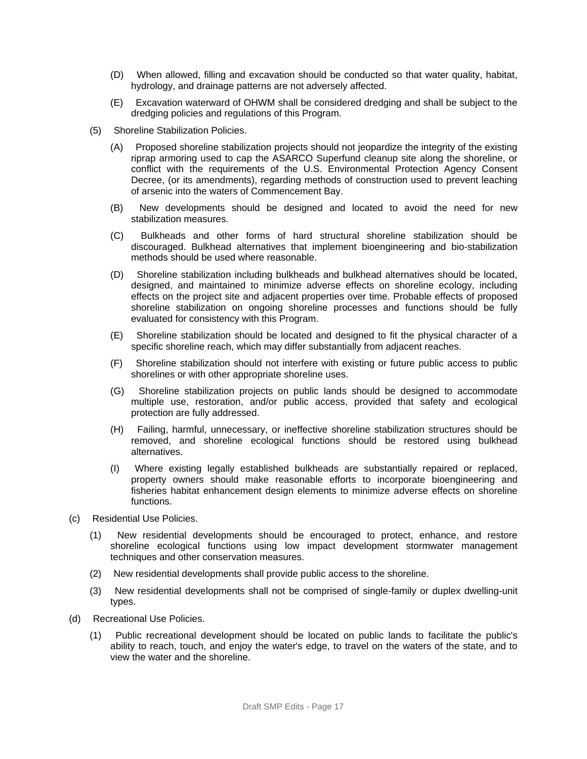- (D) When allowed, filling and excavation should be conducted so that water quality, habitat, hydrology, and drainage patterns are not adversely affected.
- (E) Excavation waterward of OHWM shall be considered dredging and shall be subject to the dredging policies and regulations of this Program.
- (5) Shoreline Stabilization Policies.
	- (A) Proposed shoreline stabilization projects should not jeopardize the integrity of the existing riprap armoring used to cap the ASARCO Superfund cleanup site along the shoreline, or conflict with the requirements of the U.S. Environmental Protection Agency Consent Decree, (or its amendments), regarding methods of construction used to prevent leaching of arsenic into the waters of Commencement Bay.
	- (B) New developments should be designed and located to avoid the need for new stabilization measures.
	- (C) Bulkheads and other forms of hard structural shoreline stabilization should be discouraged. Bulkhead alternatives that implement bioengineering and bio-stabilization methods should be used where reasonable.
	- (D) Shoreline stabilization including bulkheads and bulkhead alternatives should be located, designed, and maintained to minimize adverse effects on shoreline ecology, including effects on the project site and adjacent properties over time. Probable effects of proposed shoreline stabilization on ongoing shoreline processes and functions should be fully evaluated for consistency with this Program.
	- (E) Shoreline stabilization should be located and designed to fit the physical character of a specific shoreline reach, which may differ substantially from adjacent reaches.
	- (F) Shoreline stabilization should not interfere with existing or future public access to public shorelines or with other appropriate shoreline uses.
	- (G) Shoreline stabilization projects on public lands should be designed to accommodate multiple use, restoration, and/or public access, provided that safety and ecological protection are fully addressed.
	- (H) Failing, harmful, unnecessary, or ineffective shoreline stabilization structures should be removed, and shoreline ecological functions should be restored using bulkhead alternatives.
	- (I) Where existing legally established bulkheads are substantially repaired or replaced, property owners should make reasonable efforts to incorporate bioengineering and fisheries habitat enhancement design elements to minimize adverse effects on shoreline functions.
- (c) Residential Use Policies.
	- (1) New residential developments should be encouraged to protect, enhance, and restore shoreline ecological functions using low impact development stormwater management techniques and other conservation measures.
	- (2) New residential developments shall provide public access to the shoreline.
	- (3) New residential developments shall not be comprised of single-family or duplex dwelling-unit types.
- (d) Recreational Use Policies.
	- (1) Public recreational development should be located on public lands to facilitate the public's ability to reach, touch, and enjoy the water's edge, to travel on the waters of the state, and to view the water and the shoreline.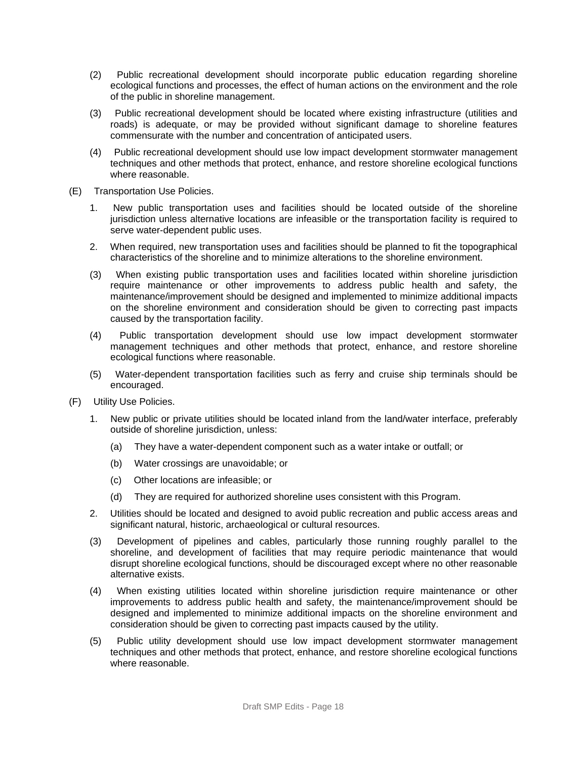- (2) Public recreational development should incorporate public education regarding shoreline ecological functions and processes, the effect of human actions on the environment and the role of the public in shoreline management.
- (3) Public recreational development should be located where existing infrastructure (utilities and roads) is adequate, or may be provided without significant damage to shoreline features commensurate with the number and concentration of anticipated users.
- (4) Public recreational development should use low impact development stormwater management techniques and other methods that protect, enhance, and restore shoreline ecological functions where reasonable.
- (E) Transportation Use Policies.
	- 1. New public transportation uses and facilities should be located outside of the shoreline jurisdiction unless alternative locations are infeasible or the transportation facility is required to serve water-dependent public uses.
	- 2. When required, new transportation uses and facilities should be planned to fit the topographical characteristics of the shoreline and to minimize alterations to the shoreline environment.
	- (3) When existing public transportation uses and facilities located within shoreline jurisdiction require maintenance or other improvements to address public health and safety, the maintenance/improvement should be designed and implemented to minimize additional impacts on the shoreline environment and consideration should be given to correcting past impacts caused by the transportation facility.
	- (4) Public transportation development should use low impact development stormwater management techniques and other methods that protect, enhance, and restore shoreline ecological functions where reasonable.
	- (5) Water-dependent transportation facilities such as ferry and cruise ship terminals should be encouraged.
- (F) Utility Use Policies.
	- 1. New public or private utilities should be located inland from the land/water interface, preferably outside of shoreline jurisdiction, unless:
		- (a) They have a water-dependent component such as a water intake or outfall; or
		- (b) Water crossings are unavoidable; or
		- (c) Other locations are infeasible; or
		- (d) They are required for authorized shoreline uses consistent with this Program.
	- 2. Utilities should be located and designed to avoid public recreation and public access areas and significant natural, historic, archaeological or cultural resources.
	- (3) Development of pipelines and cables, particularly those running roughly parallel to the shoreline, and development of facilities that may require periodic maintenance that would disrupt shoreline ecological functions, should be discouraged except where no other reasonable alternative exists.
	- (4) When existing utilities located within shoreline jurisdiction require maintenance or other improvements to address public health and safety, the maintenance/improvement should be designed and implemented to minimize additional impacts on the shoreline environment and consideration should be given to correcting past impacts caused by the utility.
	- (5) Public utility development should use low impact development stormwater management techniques and other methods that protect, enhance, and restore shoreline ecological functions where reasonable.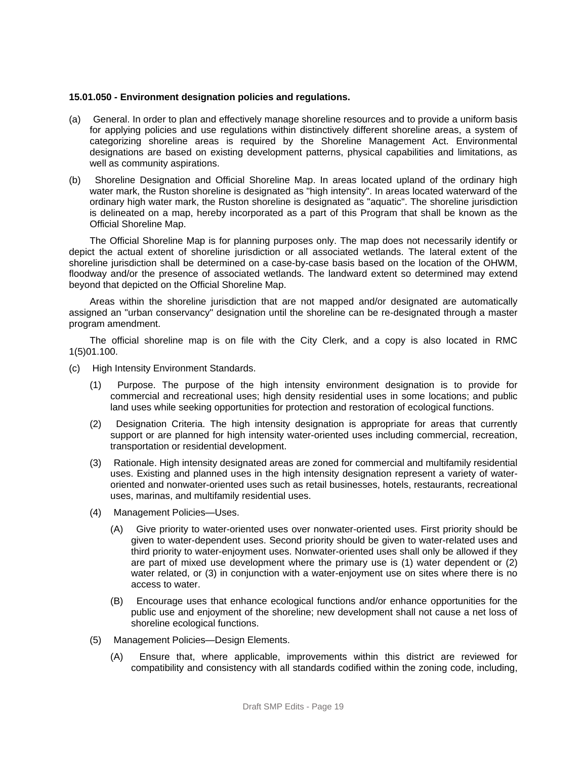#### **15.01.050 - Environment designation policies and regulations.**

- (a) General. In order to plan and effectively manage shoreline resources and to provide a uniform basis for applying policies and use regulations within distinctively different shoreline areas, a system of categorizing shoreline areas is required by the Shoreline Management Act. Environmental designations are based on existing development patterns, physical capabilities and limitations, as well as community aspirations.
- (b) Shoreline Designation and Official Shoreline Map. In areas located upland of the ordinary high water mark, the Ruston shoreline is designated as "high intensity". In areas located waterward of the ordinary high water mark, the Ruston shoreline is designated as "aquatic". The shoreline jurisdiction is delineated on a map, hereby incorporated as a part of this Program that shall be known as the Official Shoreline Map.

The Official Shoreline Map is for planning purposes only. The map does not necessarily identify or depict the actual extent of shoreline jurisdiction or all associated wetlands. The lateral extent of the shoreline jurisdiction shall be determined on a case-by-case basis based on the location of the OHWM, floodway and/or the presence of associated wetlands. The landward extent so determined may extend beyond that depicted on the Official Shoreline Map.

Areas within the shoreline jurisdiction that are not mapped and/or designated are automatically assigned an "urban conservancy" designation until the shoreline can be re-designated through a master program amendment.

The official shoreline map is on file with the City Clerk, and a copy is also located in RMC 1(5)01.100.

- (c) High Intensity Environment Standards.
	- (1) Purpose. The purpose of the high intensity environment designation is to provide for commercial and recreational uses; high density residential uses in some locations; and public land uses while seeking opportunities for protection and restoration of ecological functions.
	- (2) Designation Criteria. The high intensity designation is appropriate for areas that currently support or are planned for high intensity water-oriented uses including commercial, recreation, transportation or residential development.
	- (3) Rationale. High intensity designated areas are zoned for commercial and multifamily residential uses. Existing and planned uses in the high intensity designation represent a variety of wateroriented and nonwater-oriented uses such as retail businesses, hotels, restaurants, recreational uses, marinas, and multifamily residential uses.
	- (4) Management Policies—Uses.
		- (A) Give priority to water-oriented uses over nonwater-oriented uses. First priority should be given to water-dependent uses. Second priority should be given to water-related uses and third priority to water-enjoyment uses. Nonwater-oriented uses shall only be allowed if they are part of mixed use development where the primary use is (1) water dependent or (2) water related, or (3) in conjunction with a water-enjoyment use on sites where there is no access to water.
		- (B) Encourage uses that enhance ecological functions and/or enhance opportunities for the public use and enjoyment of the shoreline; new development shall not cause a net loss of shoreline ecological functions.
	- (5) Management Policies—Design Elements.
		- (A) Ensure that, where applicable, improvements within this district are reviewed for compatibility and consistency with all standards codified within the zoning code, including,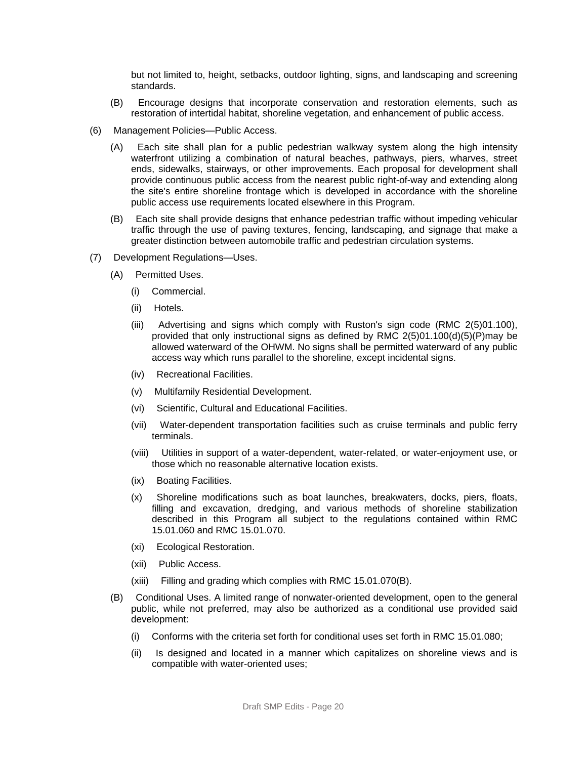but not limited to, height, setbacks, outdoor lighting, signs, and landscaping and screening standards.

- (B) Encourage designs that incorporate conservation and restoration elements, such as restoration of intertidal habitat, shoreline vegetation, and enhancement of public access.
- (6) Management Policies—Public Access.
	- (A) Each site shall plan for a public pedestrian walkway system along the high intensity waterfront utilizing a combination of natural beaches, pathways, piers, wharves, street ends, sidewalks, stairways, or other improvements. Each proposal for development shall provide continuous public access from the nearest public right-of-way and extending along the site's entire shoreline frontage which is developed in accordance with the shoreline public access use requirements located elsewhere in this Program.
	- (B) Each site shall provide designs that enhance pedestrian traffic without impeding vehicular traffic through the use of paving textures, fencing, landscaping, and signage that make a greater distinction between automobile traffic and pedestrian circulation systems.
- (7) Development Regulations—Uses.
	- (A) Permitted Uses.
		- (i) Commercial.
		- (ii) Hotels.
		- (iii) Advertising and signs which comply with Ruston's sign code (RMC 2(5)01.100), provided that only instructional signs as defined by RMC 2(5)01.100(d)(5)(P)may be allowed waterward of the OHWM. No signs shall be permitted waterward of any public access way which runs parallel to the shoreline, except incidental signs.
		- (iv) Recreational Facilities.
		- (v) Multifamily Residential Development.
		- (vi) Scientific, Cultural and Educational Facilities.
		- (vii) Water-dependent transportation facilities such as cruise terminals and public ferry terminals.
		- (viii) Utilities in support of a water-dependent, water-related, or water-enjoyment use, or those which no reasonable alternative location exists.
		- (ix) Boating Facilities.
		- (x) Shoreline modifications such as boat launches, breakwaters, docks, piers, floats, filling and excavation, dredging, and various methods of shoreline stabilization described in this Program all subject to the regulations contained within RMC 15.01.060 and RMC 15.01.070.
		- (xi) Ecological Restoration.
		- (xii) Public Access.
		- (xiii) Filling and grading which complies with RMC 15.01.070(B).
	- (B) Conditional Uses. A limited range of nonwater-oriented development, open to the general public, while not preferred, may also be authorized as a conditional use provided said development:
		- (i) Conforms with the criteria set forth for conditional uses set forth in RMC 15.01.080;
		- (ii) Is designed and located in a manner which capitalizes on shoreline views and is compatible with water-oriented uses;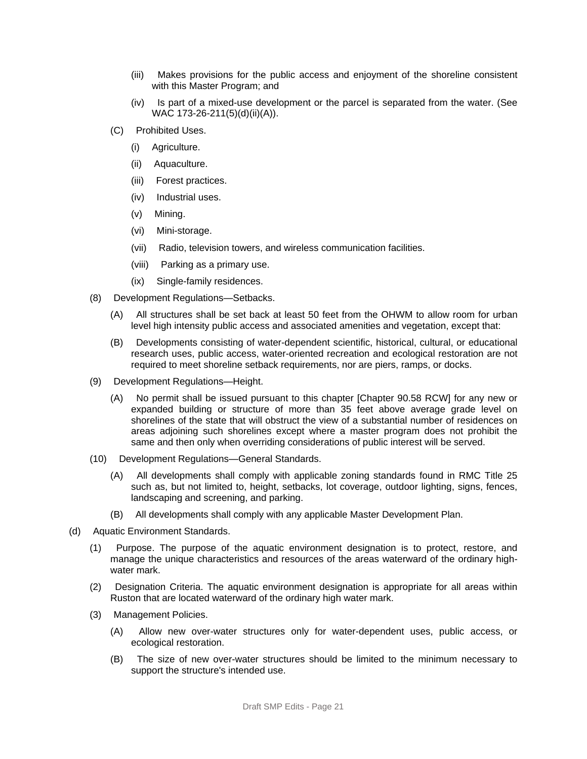- (iii) Makes provisions for the public access and enjoyment of the shoreline consistent with this Master Program; and
- (iv) Is part of a mixed-use development or the parcel is separated from the water. (See WAC 173-26-211(5)(d)(ii)(A)).
- (C) Prohibited Uses.
	- (i) Agriculture.
	- (ii) Aquaculture.
	- (iii) Forest practices.
	- (iv) Industrial uses.
	- (v) Mining.
	- (vi) Mini-storage.
	- (vii) Radio, television towers, and wireless communication facilities.
	- (viii) Parking as a primary use.
	- (ix) Single-family residences.
- (8) Development Regulations—Setbacks.
	- (A) All structures shall be set back at least 50 feet from the OHWM to allow room for urban level high intensity public access and associated amenities and vegetation, except that:
	- (B) Developments consisting of water-dependent scientific, historical, cultural, or educational research uses, public access, water-oriented recreation and ecological restoration are not required to meet shoreline setback requirements, nor are piers, ramps, or docks.
- (9) Development Regulations—Height.
	- (A) No permit shall be issued pursuant to this chapter [Chapter 90.58 RCW] for any new or expanded building or structure of more than 35 feet above average grade level on shorelines of the state that will obstruct the view of a substantial number of residences on areas adjoining such shorelines except where a master program does not prohibit the same and then only when overriding considerations of public interest will be served.
- (10) Development Regulations—General Standards.
	- (A) All developments shall comply with applicable zoning standards found in RMC Title 25 such as, but not limited to, height, setbacks, lot coverage, outdoor lighting, signs, fences, landscaping and screening, and parking.
	- (B) All developments shall comply with any applicable Master Development Plan.
- (d) Aquatic Environment Standards.
	- (1) Purpose. The purpose of the aquatic environment designation is to protect, restore, and manage the unique characteristics and resources of the areas waterward of the ordinary highwater mark.
	- (2) Designation Criteria. The aquatic environment designation is appropriate for all areas within Ruston that are located waterward of the ordinary high water mark.
	- (3) Management Policies.
		- (A) Allow new over-water structures only for water-dependent uses, public access, or ecological restoration.
		- (B) The size of new over-water structures should be limited to the minimum necessary to support the structure's intended use.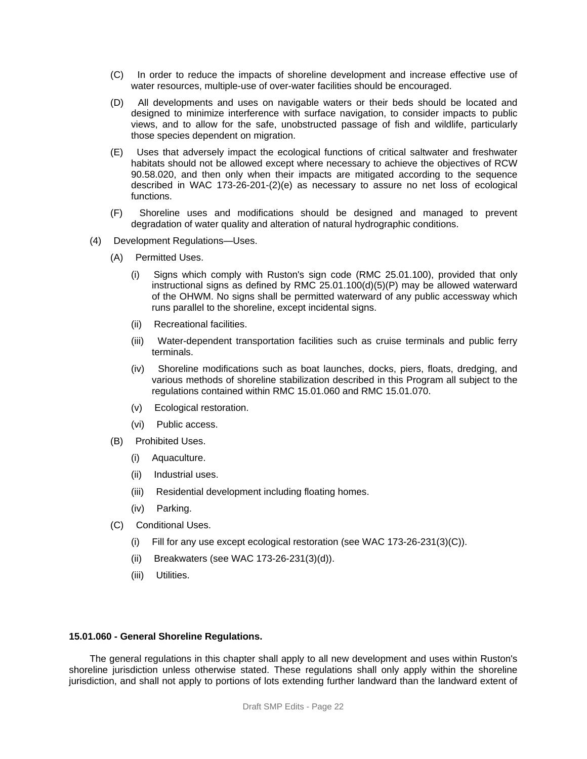- (C) In order to reduce the impacts of shoreline development and increase effective use of water resources, multiple-use of over-water facilities should be encouraged.
- (D) All developments and uses on navigable waters or their beds should be located and designed to minimize interference with surface navigation, to consider impacts to public views, and to allow for the safe, unobstructed passage of fish and wildlife, particularly those species dependent on migration.
- (E) Uses that adversely impact the ecological functions of critical saltwater and freshwater habitats should not be allowed except where necessary to achieve the objectives of RCW 90.58.020, and then only when their impacts are mitigated according to the sequence described in WAC 173-26-201-(2)(e) as necessary to assure no net loss of ecological functions.
- (F) Shoreline uses and modifications should be designed and managed to prevent degradation of water quality and alteration of natural hydrographic conditions.
- (4) Development Regulations—Uses.
	- (A) Permitted Uses.
		- (i) Signs which comply with Ruston's sign code (RMC 25.01.100), provided that only instructional signs as defined by RMC 25.01.100(d)(5)(P) may be allowed waterward of the OHWM. No signs shall be permitted waterward of any public accessway which runs parallel to the shoreline, except incidental signs.
		- (ii) Recreational facilities.
		- (iii) Water-dependent transportation facilities such as cruise terminals and public ferry terminals.
		- (iv) Shoreline modifications such as boat launches, docks, piers, floats, dredging, and various methods of shoreline stabilization described in this Program all subject to the regulations contained within RMC 15.01.060 and RMC 15.01.070.
		- (v) Ecological restoration.
		- (vi) Public access.
	- (B) Prohibited Uses.
		- (i) Aquaculture.
		- (ii) Industrial uses.
		- (iii) Residential development including floating homes.
		- (iv) Parking.
	- (C) Conditional Uses.
		- (i) Fill for any use except ecological restoration (see WAC 173-26-231(3)(C)).
		- (ii) Breakwaters (see WAC 173-26-231(3)(d)).
		- (iii) Utilities.

#### **15.01.060 - General Shoreline Regulations.**

The general regulations in this chapter shall apply to all new development and uses within Ruston's shoreline jurisdiction unless otherwise stated. These regulations shall only apply within the shoreline jurisdiction, and shall not apply to portions of lots extending further landward than the landward extent of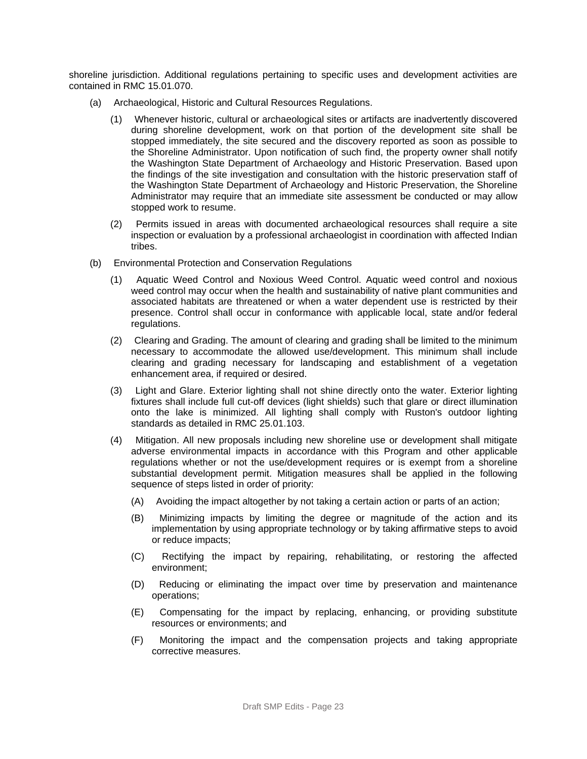shoreline jurisdiction. Additional regulations pertaining to specific uses and development activities are contained in RMC 15.01.070.

- (a) Archaeological, Historic and Cultural Resources Regulations.
	- (1) Whenever historic, cultural or archaeological sites or artifacts are inadvertently discovered during shoreline development, work on that portion of the development site shall be stopped immediately, the site secured and the discovery reported as soon as possible to the Shoreline Administrator. Upon notification of such find, the property owner shall notify the Washington State Department of Archaeology and Historic Preservation. Based upon the findings of the site investigation and consultation with the historic preservation staff of the Washington State Department of Archaeology and Historic Preservation, the Shoreline Administrator may require that an immediate site assessment be conducted or may allow stopped work to resume.
	- (2) Permits issued in areas with documented archaeological resources shall require a site inspection or evaluation by a professional archaeologist in coordination with affected Indian tribes.
- (b) Environmental Protection and Conservation Regulations
	- (1) Aquatic Weed Control and Noxious Weed Control. Aquatic weed control and noxious weed control may occur when the health and sustainability of native plant communities and associated habitats are threatened or when a water dependent use is restricted by their presence. Control shall occur in conformance with applicable local, state and/or federal regulations.
	- (2) Clearing and Grading. The amount of clearing and grading shall be limited to the minimum necessary to accommodate the allowed use/development. This minimum shall include clearing and grading necessary for landscaping and establishment of a vegetation enhancement area, if required or desired.
	- (3) Light and Glare. Exterior lighting shall not shine directly onto the water. Exterior lighting fixtures shall include full cut-off devices (light shields) such that glare or direct illumination onto the lake is minimized. All lighting shall comply with Ruston's outdoor lighting standards as detailed in RMC 25.01.103.
	- (4) Mitigation. All new proposals including new shoreline use or development shall mitigate adverse environmental impacts in accordance with this Program and other applicable regulations whether or not the use/development requires or is exempt from a shoreline substantial development permit. Mitigation measures shall be applied in the following sequence of steps listed in order of priority:
		- (A) Avoiding the impact altogether by not taking a certain action or parts of an action;
		- (B) Minimizing impacts by limiting the degree or magnitude of the action and its implementation by using appropriate technology or by taking affirmative steps to avoid or reduce impacts;
		- (C) Rectifying the impact by repairing, rehabilitating, or restoring the affected environment;
		- (D) Reducing or eliminating the impact over time by preservation and maintenance operations;
		- (E) Compensating for the impact by replacing, enhancing, or providing substitute resources or environments; and
		- (F) Monitoring the impact and the compensation projects and taking appropriate corrective measures.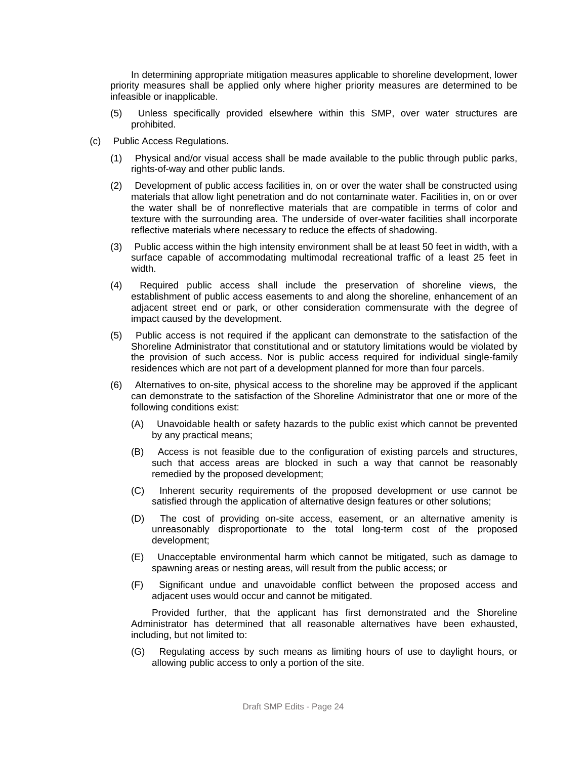In determining appropriate mitigation measures applicable to shoreline development, lower priority measures shall be applied only where higher priority measures are determined to be infeasible or inapplicable.

- (5) Unless specifically provided elsewhere within this SMP, over water structures are prohibited.
- (c) Public Access Regulations.
	- (1) Physical and/or visual access shall be made available to the public through public parks, rights-of-way and other public lands.
	- (2) Development of public access facilities in, on or over the water shall be constructed using materials that allow light penetration and do not contaminate water. Facilities in, on or over the water shall be of nonreflective materials that are compatible in terms of color and texture with the surrounding area. The underside of over-water facilities shall incorporate reflective materials where necessary to reduce the effects of shadowing.
	- (3) Public access within the high intensity environment shall be at least 50 feet in width, with a surface capable of accommodating multimodal recreational traffic of a least 25 feet in width.
	- (4) Required public access shall include the preservation of shoreline views, the establishment of public access easements to and along the shoreline, enhancement of an adjacent street end or park, or other consideration commensurate with the degree of impact caused by the development.
	- (5) Public access is not required if the applicant can demonstrate to the satisfaction of the Shoreline Administrator that constitutional and or statutory limitations would be violated by the provision of such access. Nor is public access required for individual single-family residences which are not part of a development planned for more than four parcels.
	- (6) Alternatives to on-site, physical access to the shoreline may be approved if the applicant can demonstrate to the satisfaction of the Shoreline Administrator that one or more of the following conditions exist:
		- (A) Unavoidable health or safety hazards to the public exist which cannot be prevented by any practical means;
		- (B) Access is not feasible due to the configuration of existing parcels and structures, such that access areas are blocked in such a way that cannot be reasonably remedied by the proposed development;
		- (C) Inherent security requirements of the proposed development or use cannot be satisfied through the application of alternative design features or other solutions;
		- (D) The cost of providing on-site access, easement, or an alternative amenity is unreasonably disproportionate to the total long-term cost of the proposed development;
		- (E) Unacceptable environmental harm which cannot be mitigated, such as damage to spawning areas or nesting areas, will result from the public access; or
		- (F) Significant undue and unavoidable conflict between the proposed access and adjacent uses would occur and cannot be mitigated.

Provided further, that the applicant has first demonstrated and the Shoreline Administrator has determined that all reasonable alternatives have been exhausted, including, but not limited to:

(G) Regulating access by such means as limiting hours of use to daylight hours, or allowing public access to only a portion of the site.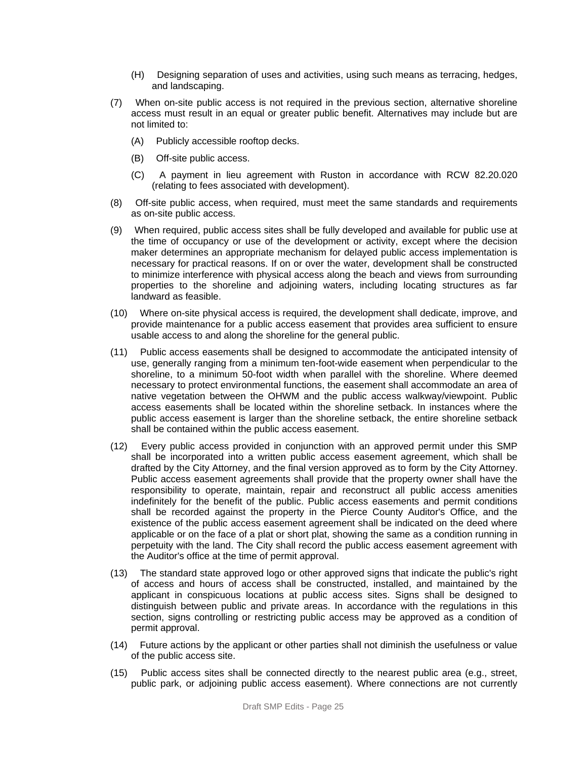- (H) Designing separation of uses and activities, using such means as terracing, hedges, and landscaping.
- (7) When on-site public access is not required in the previous section, alternative shoreline access must result in an equal or greater public benefit. Alternatives may include but are not limited to:
	- (A) Publicly accessible rooftop decks.
	- (B) Off-site public access.
	- (C) A payment in lieu agreement with Ruston in accordance with RCW 82.20.020 (relating to fees associated with development).
- (8) Off-site public access, when required, must meet the same standards and requirements as on-site public access.
- (9) When required, public access sites shall be fully developed and available for public use at the time of occupancy or use of the development or activity, except where the decision maker determines an appropriate mechanism for delayed public access implementation is necessary for practical reasons. If on or over the water, development shall be constructed to minimize interference with physical access along the beach and views from surrounding properties to the shoreline and adjoining waters, including locating structures as far landward as feasible.
- (10) Where on-site physical access is required, the development shall dedicate, improve, and provide maintenance for a public access easement that provides area sufficient to ensure usable access to and along the shoreline for the general public.
- (11) Public access easements shall be designed to accommodate the anticipated intensity of use, generally ranging from a minimum ten-foot-wide easement when perpendicular to the shoreline, to a minimum 50-foot width when parallel with the shoreline. Where deemed necessary to protect environmental functions, the easement shall accommodate an area of native vegetation between the OHWM and the public access walkway/viewpoint. Public access easements shall be located within the shoreline setback. In instances where the public access easement is larger than the shoreline setback, the entire shoreline setback shall be contained within the public access easement.
- (12) Every public access provided in conjunction with an approved permit under this SMP shall be incorporated into a written public access easement agreement, which shall be drafted by the City Attorney, and the final version approved as to form by the City Attorney. Public access easement agreements shall provide that the property owner shall have the responsibility to operate, maintain, repair and reconstruct all public access amenities indefinitely for the benefit of the public. Public access easements and permit conditions shall be recorded against the property in the Pierce County Auditor's Office, and the existence of the public access easement agreement shall be indicated on the deed where applicable or on the face of a plat or short plat, showing the same as a condition running in perpetuity with the land. The City shall record the public access easement agreement with the Auditor's office at the time of permit approval.
- (13) The standard state approved logo or other approved signs that indicate the public's right of access and hours of access shall be constructed, installed, and maintained by the applicant in conspicuous locations at public access sites. Signs shall be designed to distinguish between public and private areas. In accordance with the regulations in this section, signs controlling or restricting public access may be approved as a condition of permit approval.
- (14) Future actions by the applicant or other parties shall not diminish the usefulness or value of the public access site.
- (15) Public access sites shall be connected directly to the nearest public area (e.g., street, public park, or adjoining public access easement). Where connections are not currently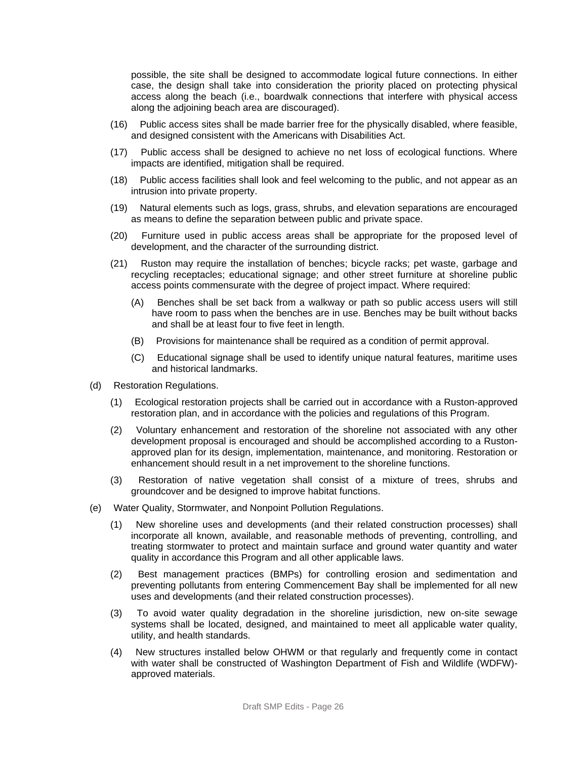possible, the site shall be designed to accommodate logical future connections. In either case, the design shall take into consideration the priority placed on protecting physical access along the beach (i.e., boardwalk connections that interfere with physical access along the adjoining beach area are discouraged).

- (16) Public access sites shall be made barrier free for the physically disabled, where feasible, and designed consistent with the Americans with Disabilities Act.
- (17) Public access shall be designed to achieve no net loss of ecological functions. Where impacts are identified, mitigation shall be required.
- (18) Public access facilities shall look and feel welcoming to the public, and not appear as an intrusion into private property.
- (19) Natural elements such as logs, grass, shrubs, and elevation separations are encouraged as means to define the separation between public and private space.
- (20) Furniture used in public access areas shall be appropriate for the proposed level of development, and the character of the surrounding district.
- (21) Ruston may require the installation of benches; bicycle racks; pet waste, garbage and recycling receptacles; educational signage; and other street furniture at shoreline public access points commensurate with the degree of project impact. Where required:
	- (A) Benches shall be set back from a walkway or path so public access users will still have room to pass when the benches are in use. Benches may be built without backs and shall be at least four to five feet in length.
	- (B) Provisions for maintenance shall be required as a condition of permit approval.
	- (C) Educational signage shall be used to identify unique natural features, maritime uses and historical landmarks.
- (d) Restoration Regulations.
	- (1) Ecological restoration projects shall be carried out in accordance with a Ruston-approved restoration plan, and in accordance with the policies and regulations of this Program.
	- (2) Voluntary enhancement and restoration of the shoreline not associated with any other development proposal is encouraged and should be accomplished according to a Rustonapproved plan for its design, implementation, maintenance, and monitoring. Restoration or enhancement should result in a net improvement to the shoreline functions.
	- (3) Restoration of native vegetation shall consist of a mixture of trees, shrubs and groundcover and be designed to improve habitat functions.
- (e) Water Quality, Stormwater, and Nonpoint Pollution Regulations.
	- (1) New shoreline uses and developments (and their related construction processes) shall incorporate all known, available, and reasonable methods of preventing, controlling, and treating stormwater to protect and maintain surface and ground water quantity and water quality in accordance this Program and all other applicable laws.
	- (2) Best management practices (BMPs) for controlling erosion and sedimentation and preventing pollutants from entering Commencement Bay shall be implemented for all new uses and developments (and their related construction processes).
	- (3) To avoid water quality degradation in the shoreline jurisdiction, new on-site sewage systems shall be located, designed, and maintained to meet all applicable water quality, utility, and health standards.
	- (4) New structures installed below OHWM or that regularly and frequently come in contact with water shall be constructed of Washington Department of Fish and Wildlife (WDFW) approved materials.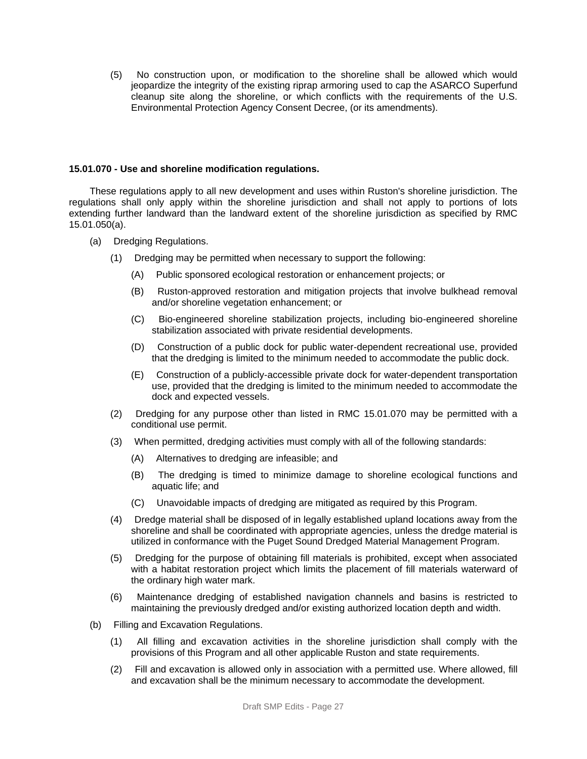(5) No construction upon, or modification to the shoreline shall be allowed which would jeopardize the integrity of the existing riprap armoring used to cap the ASARCO Superfund cleanup site along the shoreline, or which conflicts with the requirements of the U.S. Environmental Protection Agency Consent Decree, (or its amendments).

#### **15.01.070 - Use and shoreline modification regulations.**

These regulations apply to all new development and uses within Ruston's shoreline jurisdiction. The regulations shall only apply within the shoreline jurisdiction and shall not apply to portions of lots extending further landward than the landward extent of the shoreline jurisdiction as specified by RMC 15.01.050(a).

- (a) Dredging Regulations.
	- (1) Dredging may be permitted when necessary to support the following:
		- (A) Public sponsored ecological restoration or enhancement projects; or
		- (B) Ruston-approved restoration and mitigation projects that involve bulkhead removal and/or shoreline vegetation enhancement; or
		- (C) Bio-engineered shoreline stabilization projects, including bio-engineered shoreline stabilization associated with private residential developments.
		- (D) Construction of a public dock for public water-dependent recreational use, provided that the dredging is limited to the minimum needed to accommodate the public dock.
		- (E) Construction of a publicly-accessible private dock for water-dependent transportation use, provided that the dredging is limited to the minimum needed to accommodate the dock and expected vessels.
	- (2) Dredging for any purpose other than listed in RMC 15.01.070 may be permitted with a conditional use permit.
	- (3) When permitted, dredging activities must comply with all of the following standards:
		- (A) Alternatives to dredging are infeasible; and
		- (B) The dredging is timed to minimize damage to shoreline ecological functions and aquatic life; and
		- (C) Unavoidable impacts of dredging are mitigated as required by this Program.
	- (4) Dredge material shall be disposed of in legally established upland locations away from the shoreline and shall be coordinated with appropriate agencies, unless the dredge material is utilized in conformance with the Puget Sound Dredged Material Management Program.
	- (5) Dredging for the purpose of obtaining fill materials is prohibited, except when associated with a habitat restoration project which limits the placement of fill materials waterward of the ordinary high water mark.
	- (6) Maintenance dredging of established navigation channels and basins is restricted to maintaining the previously dredged and/or existing authorized location depth and width.
- (b) Filling and Excavation Regulations.
	- (1) All filling and excavation activities in the shoreline jurisdiction shall comply with the provisions of this Program and all other applicable Ruston and state requirements.
	- (2) Fill and excavation is allowed only in association with a permitted use. Where allowed, fill and excavation shall be the minimum necessary to accommodate the development.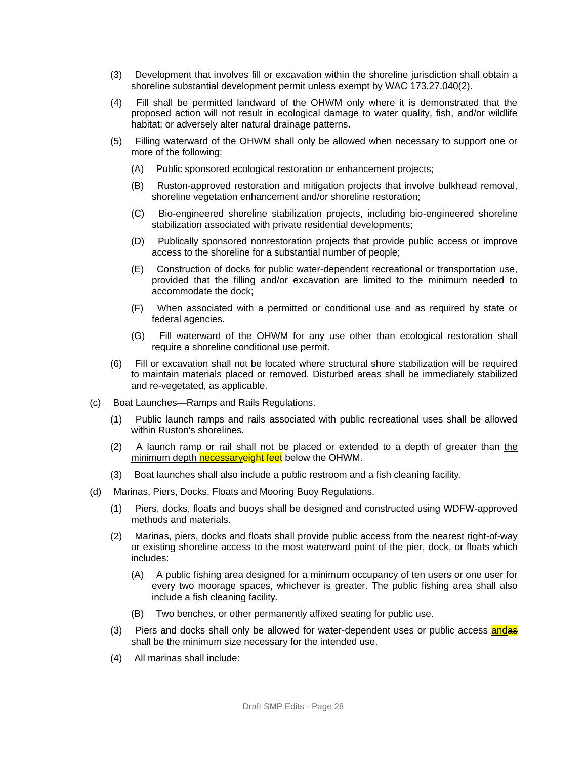- (3) Development that involves fill or excavation within the shoreline jurisdiction shall obtain a shoreline substantial development permit unless exempt by WAC 173.27.040(2).
- (4) Fill shall be permitted landward of the OHWM only where it is demonstrated that the proposed action will not result in ecological damage to water quality, fish, and/or wildlife habitat; or adversely alter natural drainage patterns.
- (5) Filling waterward of the OHWM shall only be allowed when necessary to support one or more of the following:
	- (A) Public sponsored ecological restoration or enhancement projects;
	- (B) Ruston-approved restoration and mitigation projects that involve bulkhead removal, shoreline vegetation enhancement and/or shoreline restoration;
	- (C) Bio-engineered shoreline stabilization projects, including bio-engineered shoreline stabilization associated with private residential developments;
	- (D) Publically sponsored nonrestoration projects that provide public access or improve access to the shoreline for a substantial number of people;
	- (E) Construction of docks for public water-dependent recreational or transportation use, provided that the filling and/or excavation are limited to the minimum needed to accommodate the dock;
	- (F) When associated with a permitted or conditional use and as required by state or federal agencies.
	- (G) Fill waterward of the OHWM for any use other than ecological restoration shall require a shoreline conditional use permit.
- (6) Fill or excavation shall not be located where structural shore stabilization will be required to maintain materials placed or removed. Disturbed areas shall be immediately stabilized and re-vegetated, as applicable.
- (c) Boat Launches—Ramps and Rails Regulations.
	- (1) Public launch ramps and rails associated with public recreational uses shall be allowed within Ruston's shorelines.
	- (2) A launch ramp or rail shall not be placed or extended to a depth of greater than the minimum depth necessaryeight feet-below the OHWM.
	- (3) Boat launches shall also include a public restroom and a fish cleaning facility.
- (d) Marinas, Piers, Docks, Floats and Mooring Buoy Regulations.
	- (1) Piers, docks, floats and buoys shall be designed and constructed using WDFW-approved methods and materials.
	- (2) Marinas, piers, docks and floats shall provide public access from the nearest right-of-way or existing shoreline access to the most waterward point of the pier, dock, or floats which includes:
		- (A) A public fishing area designed for a minimum occupancy of ten users or one user for every two moorage spaces, whichever is greater. The public fishing area shall also include a fish cleaning facility.
		- (B) Two benches, or other permanently affixed seating for public use.
	- (3) Piers and docks shall only be allowed for water-dependent uses or public access and as shall be the minimum size necessary for the intended use.
	- (4) All marinas shall include: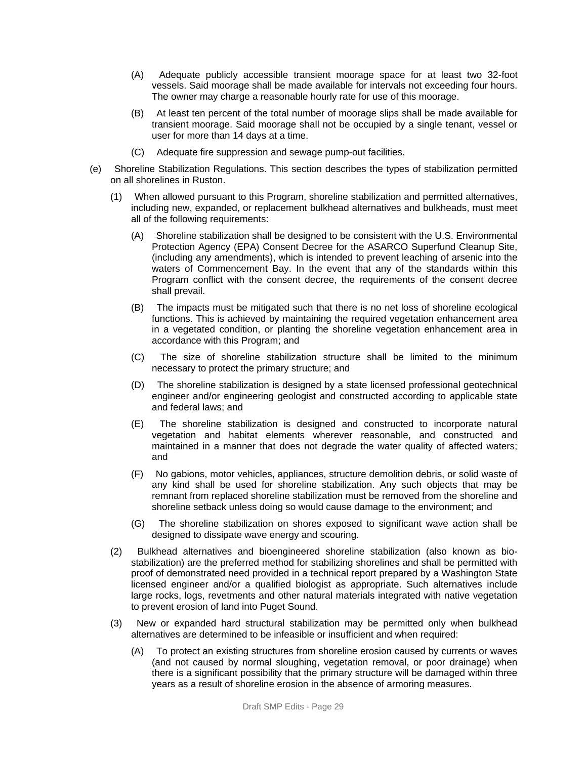- (A) Adequate publicly accessible transient moorage space for at least two 32-foot vessels. Said moorage shall be made available for intervals not exceeding four hours. The owner may charge a reasonable hourly rate for use of this moorage.
- (B) At least ten percent of the total number of moorage slips shall be made available for transient moorage. Said moorage shall not be occupied by a single tenant, vessel or user for more than 14 days at a time.
- (C) Adequate fire suppression and sewage pump-out facilities.
- (e) Shoreline Stabilization Regulations. This section describes the types of stabilization permitted on all shorelines in Ruston.
	- (1) When allowed pursuant to this Program, shoreline stabilization and permitted alternatives, including new, expanded, or replacement bulkhead alternatives and bulkheads, must meet all of the following requirements:
		- (A) Shoreline stabilization shall be designed to be consistent with the U.S. Environmental Protection Agency (EPA) Consent Decree for the ASARCO Superfund Cleanup Site, (including any amendments), which is intended to prevent leaching of arsenic into the waters of Commencement Bay. In the event that any of the standards within this Program conflict with the consent decree, the requirements of the consent decree shall prevail.
		- (B) The impacts must be mitigated such that there is no net loss of shoreline ecological functions. This is achieved by maintaining the required vegetation enhancement area in a vegetated condition, or planting the shoreline vegetation enhancement area in accordance with this Program; and
		- (C) The size of shoreline stabilization structure shall be limited to the minimum necessary to protect the primary structure; and
		- (D) The shoreline stabilization is designed by a state licensed professional geotechnical engineer and/or engineering geologist and constructed according to applicable state and federal laws; and
		- (E) The shoreline stabilization is designed and constructed to incorporate natural vegetation and habitat elements wherever reasonable, and constructed and maintained in a manner that does not degrade the water quality of affected waters; and
		- (F) No gabions, motor vehicles, appliances, structure demolition debris, or solid waste of any kind shall be used for shoreline stabilization. Any such objects that may be remnant from replaced shoreline stabilization must be removed from the shoreline and shoreline setback unless doing so would cause damage to the environment; and
		- (G) The shoreline stabilization on shores exposed to significant wave action shall be designed to dissipate wave energy and scouring.
	- (2) Bulkhead alternatives and bioengineered shoreline stabilization (also known as biostabilization) are the preferred method for stabilizing shorelines and shall be permitted with proof of demonstrated need provided in a technical report prepared by a Washington State licensed engineer and/or a qualified biologist as appropriate. Such alternatives include large rocks, logs, revetments and other natural materials integrated with native vegetation to prevent erosion of land into Puget Sound.
	- (3) New or expanded hard structural stabilization may be permitted only when bulkhead alternatives are determined to be infeasible or insufficient and when required:
		- (A) To protect an existing structures from shoreline erosion caused by currents or waves (and not caused by normal sloughing, vegetation removal, or poor drainage) when there is a significant possibility that the primary structure will be damaged within three years as a result of shoreline erosion in the absence of armoring measures.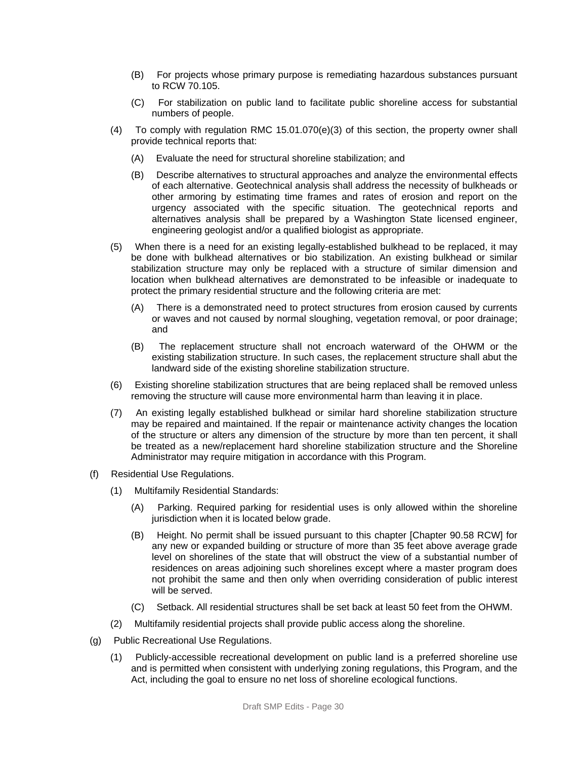- (B) For projects whose primary purpose is remediating hazardous substances pursuant to RCW 70.105.
- (C) For stabilization on public land to facilitate public shoreline access for substantial numbers of people.
- (4) To comply with regulation RMC 15.01.070(e)(3) of this section, the property owner shall provide technical reports that:
	- (A) Evaluate the need for structural shoreline stabilization; and
	- (B) Describe alternatives to structural approaches and analyze the environmental effects of each alternative. Geotechnical analysis shall address the necessity of bulkheads or other armoring by estimating time frames and rates of erosion and report on the urgency associated with the specific situation. The geotechnical reports and alternatives analysis shall be prepared by a Washington State licensed engineer, engineering geologist and/or a qualified biologist as appropriate.
- (5) When there is a need for an existing legally-established bulkhead to be replaced, it may be done with bulkhead alternatives or bio stabilization. An existing bulkhead or similar stabilization structure may only be replaced with a structure of similar dimension and location when bulkhead alternatives are demonstrated to be infeasible or inadequate to protect the primary residential structure and the following criteria are met:
	- (A) There is a demonstrated need to protect structures from erosion caused by currents or waves and not caused by normal sloughing, vegetation removal, or poor drainage; and
	- (B) The replacement structure shall not encroach waterward of the OHWM or the existing stabilization structure. In such cases, the replacement structure shall abut the landward side of the existing shoreline stabilization structure.
- (6) Existing shoreline stabilization structures that are being replaced shall be removed unless removing the structure will cause more environmental harm than leaving it in place.
- (7) An existing legally established bulkhead or similar hard shoreline stabilization structure may be repaired and maintained. If the repair or maintenance activity changes the location of the structure or alters any dimension of the structure by more than ten percent, it shall be treated as a new/replacement hard shoreline stabilization structure and the Shoreline Administrator may require mitigation in accordance with this Program.
- (f) Residential Use Regulations.
	- (1) Multifamily Residential Standards:
		- (A) Parking. Required parking for residential uses is only allowed within the shoreline jurisdiction when it is located below grade.
		- (B) Height. No permit shall be issued pursuant to this chapter [Chapter 90.58 RCW] for any new or expanded building or structure of more than 35 feet above average grade level on shorelines of the state that will obstruct the view of a substantial number of residences on areas adjoining such shorelines except where a master program does not prohibit the same and then only when overriding consideration of public interest will be served.
		- (C) Setback. All residential structures shall be set back at least 50 feet from the OHWM.
	- (2) Multifamily residential projects shall provide public access along the shoreline.
- (g) Public Recreational Use Regulations.
	- (1) Publicly-accessible recreational development on public land is a preferred shoreline use and is permitted when consistent with underlying zoning regulations, this Program, and the Act, including the goal to ensure no net loss of shoreline ecological functions.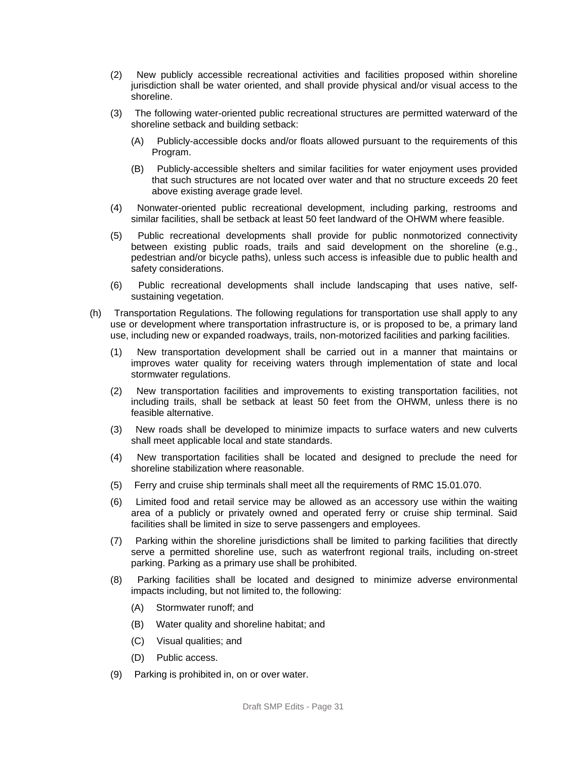- (2) New publicly accessible recreational activities and facilities proposed within shoreline jurisdiction shall be water oriented, and shall provide physical and/or visual access to the shoreline.
- (3) The following water-oriented public recreational structures are permitted waterward of the shoreline setback and building setback:
	- (A) Publicly-accessible docks and/or floats allowed pursuant to the requirements of this Program.
	- (B) Publicly-accessible shelters and similar facilities for water enjoyment uses provided that such structures are not located over water and that no structure exceeds 20 feet above existing average grade level.
- (4) Nonwater-oriented public recreational development, including parking, restrooms and similar facilities, shall be setback at least 50 feet landward of the OHWM where feasible.
- (5) Public recreational developments shall provide for public nonmotorized connectivity between existing public roads, trails and said development on the shoreline (e.g., pedestrian and/or bicycle paths), unless such access is infeasible due to public health and safety considerations.
- (6) Public recreational developments shall include landscaping that uses native, selfsustaining vegetation.
- (h) Transportation Regulations. The following regulations for transportation use shall apply to any use or development where transportation infrastructure is, or is proposed to be, a primary land use, including new or expanded roadways, trails, non-motorized facilities and parking facilities.
	- (1) New transportation development shall be carried out in a manner that maintains or improves water quality for receiving waters through implementation of state and local stormwater regulations.
	- (2) New transportation facilities and improvements to existing transportation facilities, not including trails, shall be setback at least 50 feet from the OHWM, unless there is no feasible alternative.
	- (3) New roads shall be developed to minimize impacts to surface waters and new culverts shall meet applicable local and state standards.
	- (4) New transportation facilities shall be located and designed to preclude the need for shoreline stabilization where reasonable.
	- (5) Ferry and cruise ship terminals shall meet all the requirements of RMC 15.01.070.
	- (6) Limited food and retail service may be allowed as an accessory use within the waiting area of a publicly or privately owned and operated ferry or cruise ship terminal. Said facilities shall be limited in size to serve passengers and employees.
	- (7) Parking within the shoreline jurisdictions shall be limited to parking facilities that directly serve a permitted shoreline use, such as waterfront regional trails, including on-street parking. Parking as a primary use shall be prohibited.
	- (8) Parking facilities shall be located and designed to minimize adverse environmental impacts including, but not limited to, the following:
		- (A) Stormwater runoff; and
		- (B) Water quality and shoreline habitat; and
		- (C) Visual qualities; and
		- (D) Public access.
	- (9) Parking is prohibited in, on or over water.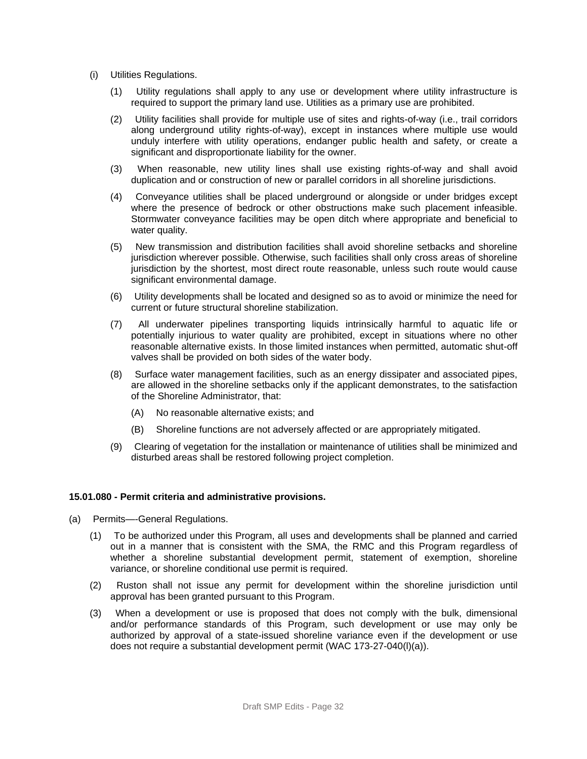- (i) Utilities Regulations.
	- (1) Utility regulations shall apply to any use or development where utility infrastructure is required to support the primary land use. Utilities as a primary use are prohibited.
	- (2) Utility facilities shall provide for multiple use of sites and rights-of-way (i.e., trail corridors along underground utility rights-of-way), except in instances where multiple use would unduly interfere with utility operations, endanger public health and safety, or create a significant and disproportionate liability for the owner.
	- (3) When reasonable, new utility lines shall use existing rights-of-way and shall avoid duplication and or construction of new or parallel corridors in all shoreline jurisdictions.
	- (4) Conveyance utilities shall be placed underground or alongside or under bridges except where the presence of bedrock or other obstructions make such placement infeasible. Stormwater conveyance facilities may be open ditch where appropriate and beneficial to water quality.
	- (5) New transmission and distribution facilities shall avoid shoreline setbacks and shoreline jurisdiction wherever possible. Otherwise, such facilities shall only cross areas of shoreline jurisdiction by the shortest, most direct route reasonable, unless such route would cause significant environmental damage.
	- (6) Utility developments shall be located and designed so as to avoid or minimize the need for current or future structural shoreline stabilization.
	- (7) All underwater pipelines transporting liquids intrinsically harmful to aquatic life or potentially injurious to water quality are prohibited, except in situations where no other reasonable alternative exists. In those limited instances when permitted, automatic shut-off valves shall be provided on both sides of the water body.
	- (8) Surface water management facilities, such as an energy dissipater and associated pipes, are allowed in the shoreline setbacks only if the applicant demonstrates, to the satisfaction of the Shoreline Administrator, that:
		- (A) No reasonable alternative exists; and
		- (B) Shoreline functions are not adversely affected or are appropriately mitigated.
	- (9) Clearing of vegetation for the installation or maintenance of utilities shall be minimized and disturbed areas shall be restored following project completion.

#### **15.01.080 - Permit criteria and administrative provisions.**

- (a) Permits—-General Regulations.
	- (1) To be authorized under this Program, all uses and developments shall be planned and carried out in a manner that is consistent with the SMA, the RMC and this Program regardless of whether a shoreline substantial development permit, statement of exemption, shoreline variance, or shoreline conditional use permit is required.
	- (2) Ruston shall not issue any permit for development within the shoreline jurisdiction until approval has been granted pursuant to this Program.
	- (3) When a development or use is proposed that does not comply with the bulk, dimensional and/or performance standards of this Program, such development or use may only be authorized by approval of a state-issued shoreline variance even if the development or use does not require a substantial development permit (WAC 173-27-040(l)(a)).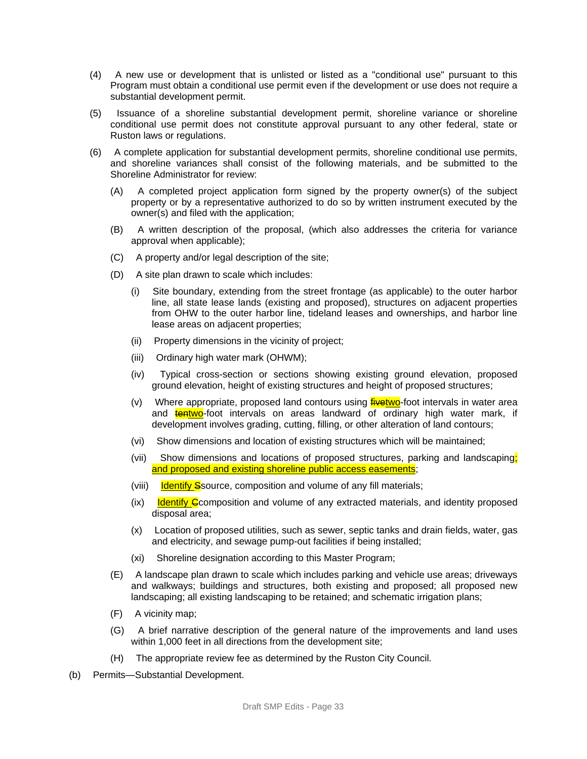- (4) A new use or development that is unlisted or listed as a "conditional use" pursuant to this Program must obtain a conditional use permit even if the development or use does not require a substantial development permit.
- (5) Issuance of a shoreline substantial development permit, shoreline variance or shoreline conditional use permit does not constitute approval pursuant to any other federal, state or Ruston laws or regulations.
- (6) A complete application for substantial development permits, shoreline conditional use permits, and shoreline variances shall consist of the following materials, and be submitted to the Shoreline Administrator for review:
	- (A) A completed project application form signed by the property owner(s) of the subject property or by a representative authorized to do so by written instrument executed by the owner(s) and filed with the application;
	- (B) A written description of the proposal, (which also addresses the criteria for variance approval when applicable);
	- (C) A property and/or legal description of the site;
	- (D) A site plan drawn to scale which includes:
		- (i) Site boundary, extending from the street frontage (as applicable) to the outer harbor line, all state lease lands (existing and proposed), structures on adjacent properties from OHW to the outer harbor line, tideland leases and ownerships, and harbor line lease areas on adjacent properties;
		- (ii) Property dimensions in the vicinity of project;
		- (iii) Ordinary high water mark (OHWM);
		- (iv) Typical cross-section or sections showing existing ground elevation, proposed ground elevation, height of existing structures and height of proposed structures;
		- (v) Where appropriate, proposed land contours using **fivetwo**-foot intervals in water area and **tentwo**-foot intervals on areas landward of ordinary high water mark, if development involves grading, cutting, filling, or other alteration of land contours;
		- (vi) Show dimensions and location of existing structures which will be maintained;
		- (vii) Show dimensions and locations of proposed structures, parking and landscaping; and proposed and existing shoreline public access easements;
		- (viii) lotentify Ssource, composition and volume of any fill materials;
		- $(ix)$  Identify C composition and volume of any extracted materials, and identity proposed disposal area;
		- (x) Location of proposed utilities, such as sewer, septic tanks and drain fields, water, gas and electricity, and sewage pump-out facilities if being installed;
		- (xi) Shoreline designation according to this Master Program;
	- (E) A landscape plan drawn to scale which includes parking and vehicle use areas; driveways and walkways; buildings and structures, both existing and proposed; all proposed new landscaping; all existing landscaping to be retained; and schematic irrigation plans;
	- (F) A vicinity map;
	- (G) A brief narrative description of the general nature of the improvements and land uses within 1,000 feet in all directions from the development site;
	- (H) The appropriate review fee as determined by the Ruston City Council.
- (b) Permits—Substantial Development.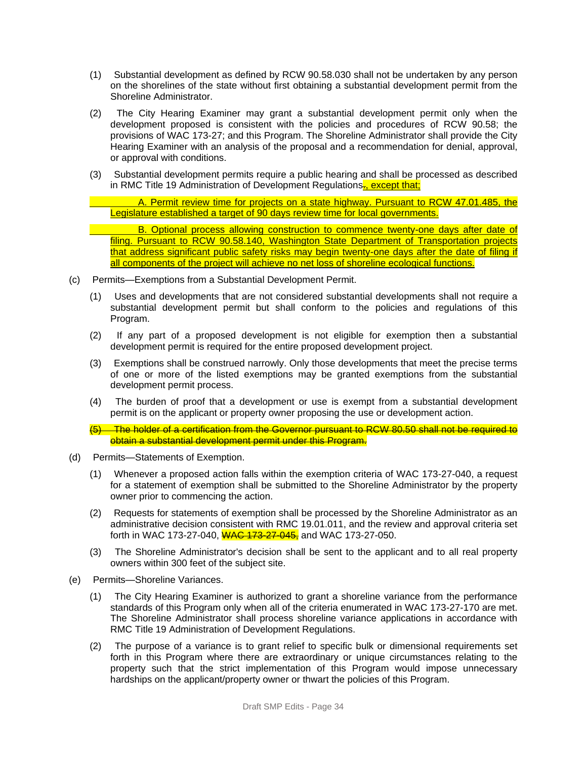- (1) Substantial development as defined by RCW 90.58.030 shall not be undertaken by any person on the shorelines of the state without first obtaining a substantial development permit from the Shoreline Administrator.
- (2) The City Hearing Examiner may grant a substantial development permit only when the development proposed is consistent with the policies and procedures of RCW 90.58; the provisions of WAC 173-27; and this Program. The Shoreline Administrator shall provide the City Hearing Examiner with an analysis of the proposal and a recommendation for denial, approval, or approval with conditions.
- (3) Substantial development permits require a public hearing and shall be processed as described in RMC Title 19 Administration of Development Regulations-, except that;

A. Permit review time for projects on a state highway. Pursuant to RCW 47.01.485, the Legislature established a target of 90 days review time for local governments.

B. Optional process allowing construction to commence twenty-one days after date of filing. Pursuant to RCW 90.58.140, Washington State Department of Transportation projects that address significant public safety risks may begin twenty-one days after the date of filing if all components of the project will achieve no net loss of shoreline ecological functions.

- (c) Permits—Exemptions from a Substantial Development Permit.
	- (1) Uses and developments that are not considered substantial developments shall not require a substantial development permit but shall conform to the policies and regulations of this Program.
	- (2) If any part of a proposed development is not eligible for exemption then a substantial development permit is required for the entire proposed development project.
	- (3) Exemptions shall be construed narrowly. Only those developments that meet the precise terms of one or more of the listed exemptions may be granted exemptions from the substantial development permit process.
	- (4) The burden of proof that a development or use is exempt from a substantial development permit is on the applicant or property owner proposing the use or development action.
	- (5) The holder of a certification from the Governor pursuant to RCW 80.50 shall not be required to obtain a substantial development permit under this Program.
- (d) Permits—Statements of Exemption.
	- (1) Whenever a proposed action falls within the exemption criteria of WAC 173-27-040, a request for a statement of exemption shall be submitted to the Shoreline Administrator by the property owner prior to commencing the action.
	- (2) Requests for statements of exemption shall be processed by the Shoreline Administrator as an administrative decision consistent with RMC 19.01.011, and the review and approval criteria set forth in WAC 173-27-040, WAC 173-27-045, and WAC 173-27-050.
	- (3) The Shoreline Administrator's decision shall be sent to the applicant and to all real property owners within 300 feet of the subject site.
- (e) Permits—Shoreline Variances.
	- (1) The City Hearing Examiner is authorized to grant a shoreline variance from the performance standards of this Program only when all of the criteria enumerated in WAC 173-27-170 are met. The Shoreline Administrator shall process shoreline variance applications in accordance with RMC Title 19 Administration of Development Regulations.
	- (2) The purpose of a variance is to grant relief to specific bulk or dimensional requirements set forth in this Program where there are extraordinary or unique circumstances relating to the property such that the strict implementation of this Program would impose unnecessary hardships on the applicant/property owner or thwart the policies of this Program.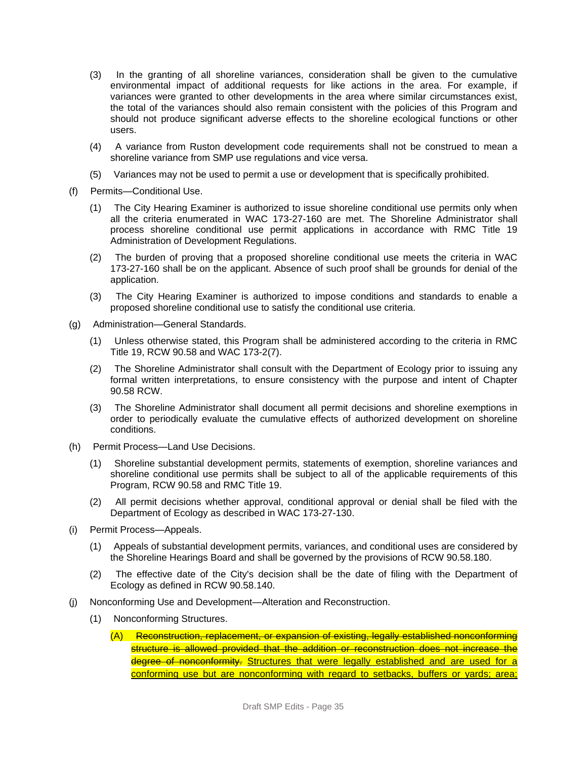- (3) In the granting of all shoreline variances, consideration shall be given to the cumulative environmental impact of additional requests for like actions in the area. For example, if variances were granted to other developments in the area where similar circumstances exist, the total of the variances should also remain consistent with the policies of this Program and should not produce significant adverse effects to the shoreline ecological functions or other users.
- (4) A variance from Ruston development code requirements shall not be construed to mean a shoreline variance from SMP use regulations and vice versa.
- (5) Variances may not be used to permit a use or development that is specifically prohibited.
- (f) Permits—Conditional Use.
	- (1) The City Hearing Examiner is authorized to issue shoreline conditional use permits only when all the criteria enumerated in WAC 173-27-160 are met. The Shoreline Administrator shall process shoreline conditional use permit applications in accordance with RMC Title 19 Administration of Development Regulations.
	- (2) The burden of proving that a proposed shoreline conditional use meets the criteria in WAC 173-27-160 shall be on the applicant. Absence of such proof shall be grounds for denial of the application.
	- (3) The City Hearing Examiner is authorized to impose conditions and standards to enable a proposed shoreline conditional use to satisfy the conditional use criteria.
- (g) Administration—General Standards.
	- (1) Unless otherwise stated, this Program shall be administered according to the criteria in RMC Title 19, RCW 90.58 and WAC 173-2(7).
	- (2) The Shoreline Administrator shall consult with the Department of Ecology prior to issuing any formal written interpretations, to ensure consistency with the purpose and intent of Chapter 90.58 RCW.
	- (3) The Shoreline Administrator shall document all permit decisions and shoreline exemptions in order to periodically evaluate the cumulative effects of authorized development on shoreline conditions.
- (h) Permit Process—Land Use Decisions.
	- (1) Shoreline substantial development permits, statements of exemption, shoreline variances and shoreline conditional use permits shall be subject to all of the applicable requirements of this Program, RCW 90.58 and RMC Title 19.
	- (2) All permit decisions whether approval, conditional approval or denial shall be filed with the Department of Ecology as described in WAC 173-27-130.
- (i) Permit Process—Appeals.
	- (1) Appeals of substantial development permits, variances, and conditional uses are considered by the Shoreline Hearings Board and shall be governed by the provisions of RCW 90.58.180.
	- (2) The effective date of the City's decision shall be the date of filing with the Department of Ecology as defined in RCW 90.58.140.
- (j) Nonconforming Use and Development—Alteration and Reconstruction.
	- (1) Nonconforming Structures.
		- (A) Reconstruction, replacement, or expansion of existing, legally established nonconforming structure is allowed provided that the addition or reconstruction does not increase the degree of nonconformity. Structures that were legally established and are used for a conforming use but are nonconforming with regard to setbacks, buffers or yards; area;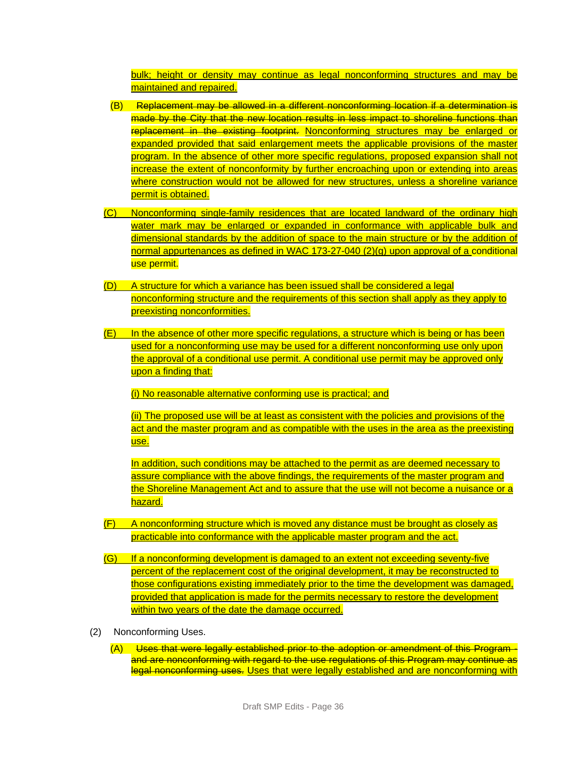bulk; height or density may continue as legal nonconforming structures and may be maintained and repaired.

- (B) Replacement may be allowed in a different nonconforming location if a determination is made by the City that the new location results in less impact to shoreline functions than replacement in the existing footprint. Nonconforming structures may be enlarged or expanded provided that said enlargement meets the applicable provisions of the master program. In the absence of other more specific regulations, proposed expansion shall not increase the extent of nonconformity by further encroaching upon or extending into areas where construction would not be allowed for new structures, unless a shoreline variance permit is obtained.
- (C) Nonconforming single-family residences that are located landward of the ordinary high water mark may be enlarged or expanded in conformance with applicable bulk and dimensional standards by the addition of space to the main structure or by the addition of normal appurtenances as defined in WAC 173-27-040 (2)(g) upon approval of a conditional use permit.
- (D) A structure for which a variance has been issued shall be considered a legal nonconforming structure and the requirements of this section shall apply as they apply to preexisting nonconformities.
- (E) In the absence of other more specific regulations, a structure which is being or has been used for a nonconforming use may be used for a different nonconforming use only upon the approval of a conditional use permit. A conditional use permit may be approved only upon a finding that:

(i) No reasonable alternative conforming use is practical; and

(ii) The proposed use will be at least as consistent with the policies and provisions of the act and the master program and as compatible with the uses in the area as the preexisting use.

In addition, such conditions may be attached to the permit as are deemed necessary to assure compliance with the above findings, the requirements of the master program and the Shoreline Management Act and to assure that the use will not become a nuisance or a hazard.

- (F) A nonconforming structure which is moved any distance must be brought as closely as practicable into conformance with the applicable master program and the act.
- (G) If a nonconforming development is damaged to an extent not exceeding seventy-five percent of the replacement cost of the original development, it may be reconstructed to those configurations existing immediately prior to the time the development was damaged, provided that application is made for the permits necessary to restore the development within two years of the date the damage occurred.
- (2) Nonconforming Uses.
	- (A) Uses that were legally established prior to the adoption or amendment of this Program and are nonconforming with regard to the use regulations of this Program may continue as legal nonconforming uses. Uses that were legally established and are nonconforming with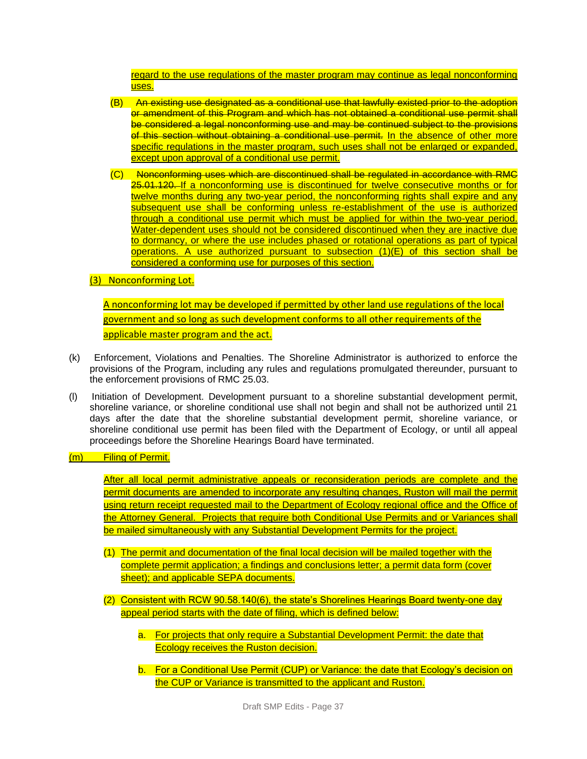regard to the use regulations of the master program may continue as legal nonconforming uses.

- (B) An existing use designated as a conditional use that lawfully existed prior to the adoption or amendment of this Program and which has not obtained a conditional use permit shall be considered a legal nonconforming use and may be continued subject to the provisions of this section without obtaining a conditional use permit. In the absence of other more specific regulations in the master program, such uses shall not be enlarged or expanded, except upon approval of a conditional use permit.
- (C) Nonconforming uses which are discontinued shall be regulated in accordance with RMC 25.01.120. If a nonconforming use is discontinued for twelve consecutive months or for twelve months during any two-year period, the nonconforming rights shall expire and any subsequent use shall be conforming unless re-establishment of the use is authorized through a conditional use permit which must be applied for within the two-year period. Water-dependent uses should not be considered discontinued when they are inactive due to dormancy, or where the use includes phased or rotational operations as part of typical operations. A use authorized pursuant to subsection  $(1)(E)$  of this section shall be considered a conforming use for purposes of this section.
- (3) Nonconforming Lot.

A nonconforming lot may be developed if permitted by other land use regulations of the local government and so long as such development conforms to all other requirements of the applicable master program and the act.

- (k) Enforcement, Violations and Penalties. The Shoreline Administrator is authorized to enforce the provisions of the Program, including any rules and regulations promulgated thereunder, pursuant to the enforcement provisions of RMC 25.03.
- (l) Initiation of Development. Development pursuant to a shoreline substantial development permit, shoreline variance, or shoreline conditional use shall not begin and shall not be authorized until 21 days after the date that the shoreline substantial development permit, shoreline variance, or shoreline conditional use permit has been filed with the Department of Ecology, or until all appeal proceedings before the Shoreline Hearings Board have terminated.

#### (m) Filing of Permit.

After all local permit administrative appeals or reconsideration periods are complete and the permit documents are amended to incorporate any resulting changes, Ruston will mail the permit using return receipt requested mail to the Department of Ecology regional office and the Office of the Attorney General. Projects that require both Conditional Use Permits and or Variances shall be mailed simultaneously with any Substantial Development Permits for the project.

- (1) The permit and documentation of the final local decision will be mailed together with the complete permit application; a findings and conclusions letter; a permit data form (cover sheet); and applicable SEPA documents.
- (2) Consistent with RCW 90.58.140(6), the state's Shorelines Hearings Board twenty-one day appeal period starts with the date of filing, which is defined below:
	- a. For projects that only require a Substantial Development Permit: the date that Ecology receives the Ruston decision.
	- b. For a Conditional Use Permit (CUP) or Variance: the date that Ecology's decision on the CUP or Variance is transmitted to the applicant and Ruston.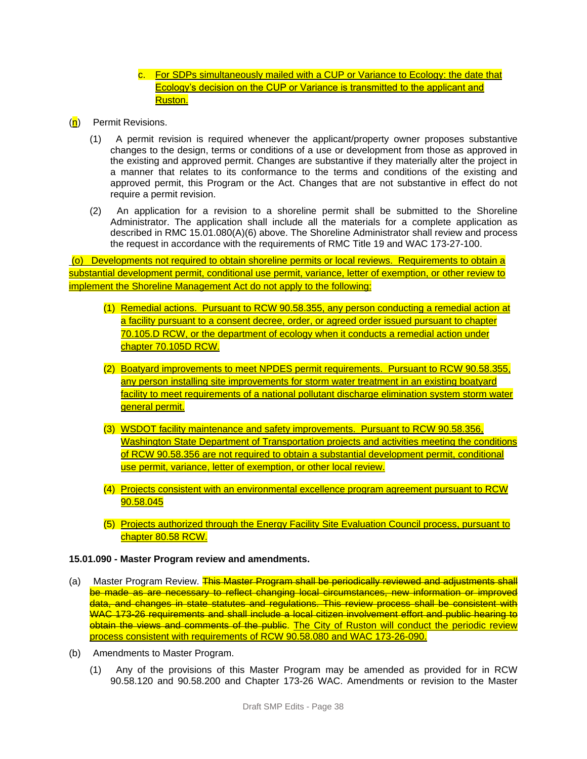### c. For SDPs simultaneously mailed with a CUP or Variance to Ecology: the date that Ecology's decision on the CUP or Variance is transmitted to the applicant and Ruston.

- (n) Permit Revisions.
	- (1) A permit revision is required whenever the applicant/property owner proposes substantive changes to the design, terms or conditions of a use or development from those as approved in the existing and approved permit. Changes are substantive if they materially alter the project in a manner that relates to its conformance to the terms and conditions of the existing and approved permit, this Program or the Act. Changes that are not substantive in effect do not require a permit revision.
	- (2) An application for a revision to a shoreline permit shall be submitted to the Shoreline Administrator. The application shall include all the materials for a complete application as described in RMC 15.01.080(A)(6) above. The Shoreline Administrator shall review and process the request in accordance with the requirements of RMC Title 19 and WAC 173-27-100.

(o) Developments not required to obtain shoreline permits or local reviews. Requirements to obtain a substantial development permit, conditional use permit, variance, letter of exemption, or other review to implement the Shoreline Management Act do not apply to the following:

- (1) Remedial actions. Pursuant to RCW 90.58.355, any person conducting a remedial action at a facility pursuant to a consent decree, order, or agreed order issued pursuant to chapter 70.105.D RCW, or the department of ecology when it conducts a remedial action under chapter 70.105D RCW.
- (2) Boatyard improvements to meet NPDES permit requirements. Pursuant to RCW 90.58.355, any person installing site improvements for storm water treatment in an existing boatyard facility to meet requirements of a national pollutant discharge elimination system storm water general permit.
- (3) WSDOT facility maintenance and safety improvements. Pursuant to RCW 90.58.356, Washington State Department of Transportation projects and activities meeting the conditions of RCW 90.58.356 are not required to obtain a substantial development permit, conditional use permit, variance, letter of exemption, or other local review.
- (4) Projects consistent with an environmental excellence program agreement pursuant to RCW 90.58.045
- (5) Projects authorized through the Energy Facility Site Evaluation Council process, pursuant to chapter 80.58 RCW.

#### **15.01.090 - Master Program review and amendments.**

- (a) Master Program Review. This Master Program shall be periodically reviewed and adjustments shall be made as are necessary to reflect changing local circumstances, new information or improved data, and changes in state statutes and regulations. This review process shall be consistent with WAC 173-26 requirements and shall include a local citizen involvement effort and public hearing to obtain the views and comments of the public. The City of Ruston will conduct the periodic review process consistent with requirements of RCW 90.58.080 and WAC 173-26-090.
- (b) Amendments to Master Program.
	- (1) Any of the provisions of this Master Program may be amended as provided for in RCW 90.58.120 and 90.58.200 and Chapter 173-26 WAC. Amendments or revision to the Master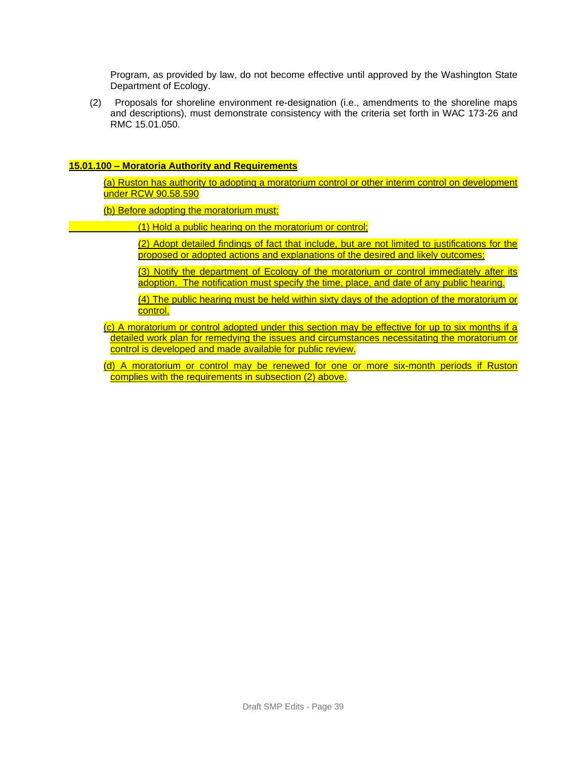Program, as provided by law, do not become effective until approved by the Washington State Department of Ecology.

(2) Proposals for shoreline environment re-designation (i.e., amendments to the shoreline maps and descriptions), must demonstrate consistency with the criteria set forth in WAC 173-26 and RMC 15.01.050.

#### **15.01.100 – Moratoria Authority and Requirements**

(a) Ruston has authority to adopting a moratorium control or other interim control on development under RCW 90.58.590

(b) Before adopting the moratorium must:

(1) Hold a public hearing on the moratorium or control;

(2) Adopt detailed findings of fact that include, but are not limited to justifications for the proposed or adopted actions and explanations of the desired and likely outcomes;

(3) Notify the department of Ecology of the moratorium or control immediately after its adoption. The notification must specify the time, place, and date of any public hearing.

(4) The public hearing must be held within sixty days of the adoption of the moratorium or control.

(c) A moratorium or control adopted under this section may be effective for up to six months if a detailed work plan for remedying the issues and circumstances necessitating the moratorium or control is developed and made available for public review.

(d) A moratorium or control may be renewed for one or more six-month periods if Ruston complies with the requirements in subsection (2) above.